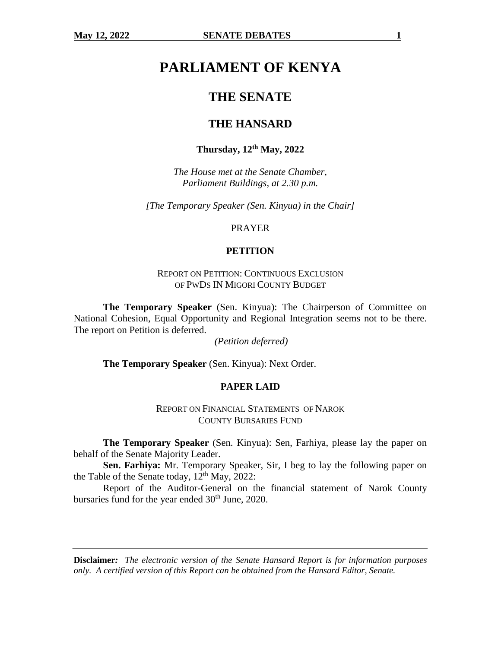# **PARLIAMENT OF KENYA**

## **THE SENATE**

## **THE HANSARD**

## **Thursday, 12th May, 2022**

*The House met at the Senate Chamber, Parliament Buildings, at 2.30 p.m.*

*[The Temporary Speaker (Sen. Kinyua) in the Chair]*

PRAYER

#### **PETITION**

REPORT ON PETITION: CONTINUOUS EXCLUSION OF PWDS IN MIGORI COUNTY BUDGET

**The Temporary Speaker** (Sen. Kinyua): The Chairperson of Committee on National Cohesion, Equal Opportunity and Regional Integration seems not to be there. The report on Petition is deferred.

*(Petition deferred)*

**The Temporary Speaker** (Sen. Kinyua): Next Order.

#### **PAPER LAID**

REPORT ON FINANCIAL STATEMENTS OF NAROK COUNTY BURSARIES FUND

**The Temporary Speaker** (Sen. Kinyua): Sen, Farhiya, please lay the paper on behalf of the Senate Majority Leader.

**Sen. Farhiya:** Mr. Temporary Speaker, Sir, I beg to lay the following paper on the Table of the Senate today,  $12^{th}$  May,  $2022$ :

Report of the Auditor-General on the financial statement of Narok County bursaries fund for the year ended 30<sup>th</sup> June, 2020.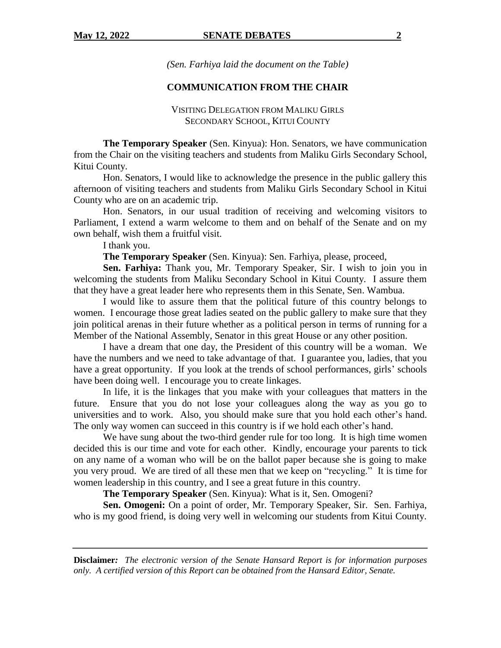*(Sen. Farhiya laid the document on the Table)*

## **COMMUNICATION FROM THE CHAIR**

### VISITING DELEGATION FROM MALIKU GIRLS SECONDARY SCHOOL, KITUI COUNTY

**The Temporary Speaker** (Sen. Kinyua): Hon. Senators, we have communication from the Chair on the visiting teachers and students from Maliku Girls Secondary School, Kitui County.

Hon. Senators, I would like to acknowledge the presence in the public gallery this afternoon of visiting teachers and students from Maliku Girls Secondary School in Kitui County who are on an academic trip.

Hon. Senators, in our usual tradition of receiving and welcoming visitors to Parliament, I extend a warm welcome to them and on behalf of the Senate and on my own behalf, wish them a fruitful visit.

I thank you.

**The Temporary Speaker** (Sen. Kinyua): Sen. Farhiya, please, proceed,

**Sen. Farhiya:** Thank you, Mr. Temporary Speaker, Sir. I wish to join you in welcoming the students from Maliku Secondary School in Kitui County. I assure them that they have a great leader here who represents them in this Senate, Sen. Wambua.

I would like to assure them that the political future of this country belongs to women. I encourage those great ladies seated on the public gallery to make sure that they join political arenas in their future whether as a political person in terms of running for a Member of the National Assembly, Senator in this great House or any other position.

I have a dream that one day, the President of this country will be a woman. We have the numbers and we need to take advantage of that. I guarantee you, ladies, that you have a great opportunity. If you look at the trends of school performances, girls' schools have been doing well. I encourage you to create linkages.

In life, it is the linkages that you make with your colleagues that matters in the future. Ensure that you do not lose your colleagues along the way as you go to universities and to work. Also, you should make sure that you hold each other's hand. The only way women can succeed in this country is if we hold each other's hand.

We have sung about the two-third gender rule for too long. It is high time women decided this is our time and vote for each other. Kindly, encourage your parents to tick on any name of a woman who will be on the ballot paper because she is going to make you very proud. We are tired of all these men that we keep on "recycling." It is time for women leadership in this country, and I see a great future in this country.

**The Temporary Speaker** (Sen. Kinyua): What is it, Sen. Omogeni?

**Sen. Omogeni:** On a point of order, Mr. Temporary Speaker, Sir. Sen. Farhiya, who is my good friend, is doing very well in welcoming our students from Kitui County.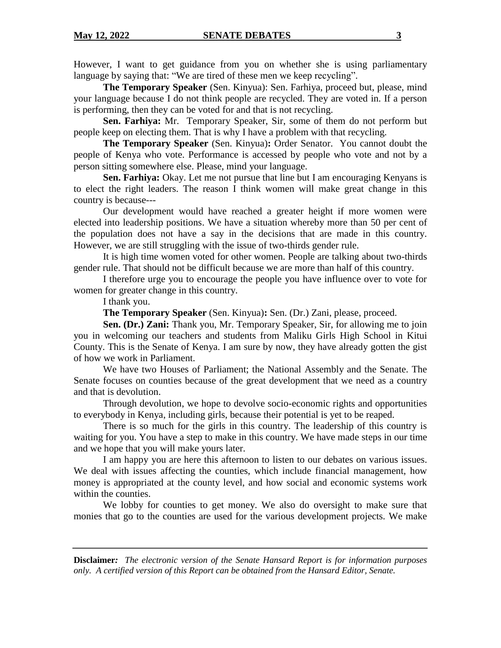However, I want to get guidance from you on whether she is using parliamentary language by saying that: "We are tired of these men we keep recycling".

**The Temporary Speaker** (Sen. Kinyua): Sen. Farhiya, proceed but, please, mind your language because I do not think people are recycled. They are voted in. If a person is performing, then they can be voted for and that is not recycling.

**Sen. Farhiya:** Mr. Temporary Speaker, Sir, some of them do not perform but people keep on electing them. That is why I have a problem with that recycling.

**The Temporary Speaker** (Sen. Kinyua)**:** Order Senator. You cannot doubt the people of Kenya who vote. Performance is accessed by people who vote and not by a person sitting somewhere else. Please, mind your language.

**Sen. Farhiya:** Okay. Let me not pursue that line but I am encouraging Kenyans is to elect the right leaders. The reason I think women will make great change in this country is because---

Our development would have reached a greater height if more women were elected into leadership positions. We have a situation whereby more than 50 per cent of the population does not have a say in the decisions that are made in this country. However, we are still struggling with the issue of two-thirds gender rule.

It is high time women voted for other women. People are talking about two-thirds gender rule. That should not be difficult because we are more than half of this country.

I therefore urge you to encourage the people you have influence over to vote for women for greater change in this country.

I thank you.

**The Temporary Speaker** (Sen. Kinyua)**:** Sen. (Dr.) Zani, please, proceed.

**Sen. (Dr.) Zani:** Thank you, Mr. Temporary Speaker, Sir, for allowing me to join you in welcoming our teachers and students from Maliku Girls High School in Kitui County. This is the Senate of Kenya. I am sure by now, they have already gotten the gist of how we work in Parliament.

We have two Houses of Parliament; the National Assembly and the Senate. The Senate focuses on counties because of the great development that we need as a country and that is devolution.

Through devolution, we hope to devolve socio-economic rights and opportunities to everybody in Kenya, including girls, because their potential is yet to be reaped.

There is so much for the girls in this country. The leadership of this country is waiting for you. You have a step to make in this country. We have made steps in our time and we hope that you will make yours later.

I am happy you are here this afternoon to listen to our debates on various issues. We deal with issues affecting the counties, which include financial management, how money is appropriated at the county level, and how social and economic systems work within the counties.

We lobby for counties to get money. We also do oversight to make sure that monies that go to the counties are used for the various development projects. We make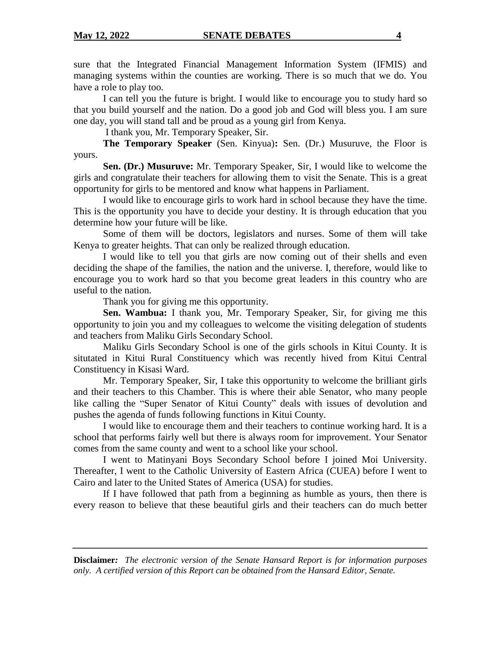sure that the Integrated Financial Management Information System (IFMIS) and managing systems within the counties are working. There is so much that we do. You have a role to play too.

I can tell you the future is bright. I would like to encourage you to study hard so that you build yourself and the nation. Do a good job and God will bless you. I am sure one day, you will stand tall and be proud as a young girl from Kenya.

I thank you, Mr. Temporary Speaker, Sir.

**The Temporary Speaker** (Sen. Kinyua)**:** Sen. (Dr.) Musuruve, the Floor is yours.

**Sen. (Dr.) Musuruve:** Mr. Temporary Speaker, Sir, I would like to welcome the girls and congratulate their teachers for allowing them to visit the Senate. This is a great opportunity for girls to be mentored and know what happens in Parliament.

I would like to encourage girls to work hard in school because they have the time. This is the opportunity you have to decide your destiny. It is through education that you determine how your future will be like.

Some of them will be doctors, legislators and nurses. Some of them will take Kenya to greater heights. That can only be realized through education.

I would like to tell you that girls are now coming out of their shells and even deciding the shape of the families, the nation and the universe. I, therefore, would like to encourage you to work hard so that you become great leaders in this country who are useful to the nation.

Thank you for giving me this opportunity.

**Sen. Wambua:** I thank you, Mr. Temporary Speaker, Sir, for giving me this opportunity to join you and my colleagues to welcome the visiting delegation of students and teachers from Maliku Girls Secondary School.

Maliku Girls Secondary School is one of the girls schools in Kitui County. It is situtated in Kitui Rural Constituency which was recently hived from Kitui Central Constituency in Kisasi Ward.

Mr. Temporary Speaker, Sir, I take this opportunity to welcome the brilliant girls and their teachers to this Chamber. This is where their able Senator, who many people like calling the "Super Senator of Kitui County" deals with issues of devolution and pushes the agenda of funds following functions in Kitui County.

I would like to encourage them and their teachers to continue working hard. It is a school that performs fairly well but there is always room for improvement. Your Senator comes from the same county and went to a school like your school.

I went to Matinyani Boys Secondary School before I joined Moi University. Thereafter, I went to the Catholic University of Eastern Africa (CUEA) before I went to Cairo and later to the United States of America (USA) for studies.

If I have followed that path from a beginning as humble as yours, then there is every reason to believe that these beautiful girls and their teachers can do much better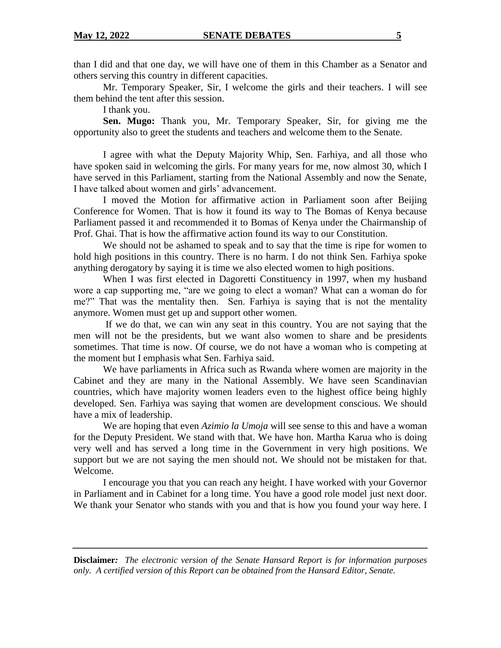than I did and that one day, we will have one of them in this Chamber as a Senator and others serving this country in different capacities.

Mr. Temporary Speaker, Sir, I welcome the girls and their teachers. I will see them behind the tent after this session.

I thank you.

**Sen. Mugo:** Thank you, Mr. Temporary Speaker, Sir, for giving me the opportunity also to greet the students and teachers and welcome them to the Senate.

I agree with what the Deputy Majority Whip, Sen. Farhiya, and all those who have spoken said in welcoming the girls. For many years for me, now almost 30, which I have served in this Parliament, starting from the National Assembly and now the Senate, I have talked about women and girls' advancement.

I moved the Motion for affirmative action in Parliament soon after Beijing Conference for Women. That is how it found its way to The Bomas of Kenya because Parliament passed it and recommended it to Bomas of Kenya under the Chairmanship of Prof. Ghai. That is how the affirmative action found its way to our Constitution.

We should not be ashamed to speak and to say that the time is ripe for women to hold high positions in this country. There is no harm. I do not think Sen. Farhiya spoke anything derogatory by saying it is time we also elected women to high positions.

When I was first elected in Dagoretti Constituency in 1997, when my husband wore a cap supporting me, "are we going to elect a woman? What can a woman do for me?" That was the mentality then. Sen. Farhiya is saying that is not the mentality anymore. Women must get up and support other women.

If we do that, we can win any seat in this country. You are not saying that the men will not be the presidents, but we want also women to share and be presidents sometimes. That time is now. Of course, we do not have a woman who is competing at the moment but I emphasis what Sen. Farhiya said.

We have parliaments in Africa such as Rwanda where women are majority in the Cabinet and they are many in the National Assembly. We have seen Scandinavian countries, which have majority women leaders even to the highest office being highly developed. Sen. Farhiya was saying that women are development conscious. We should have a mix of leadership.

We are hoping that even *Azimio la Umoja* will see sense to this and have a woman for the Deputy President. We stand with that. We have hon. Martha Karua who is doing very well and has served a long time in the Government in very high positions. We support but we are not saying the men should not. We should not be mistaken for that. Welcome.

I encourage you that you can reach any height. I have worked with your Governor in Parliament and in Cabinet for a long time. You have a good role model just next door. We thank your Senator who stands with you and that is how you found your way here. I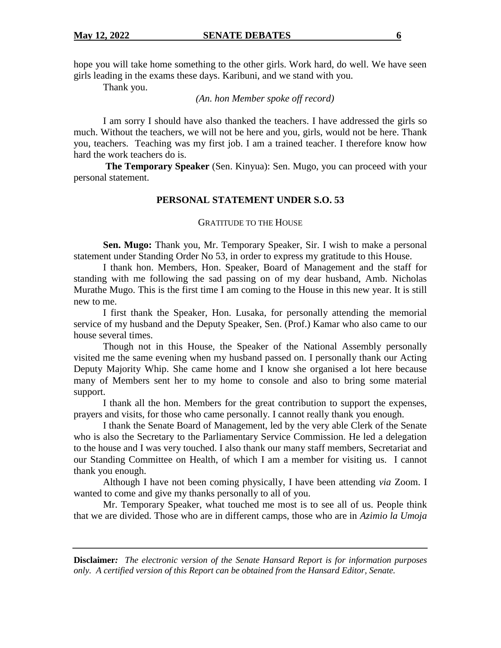hope you will take home something to the other girls. Work hard, do well. We have seen girls leading in the exams these days. Karibuni, and we stand with you.

Thank you.

*(An. hon Member spoke off record)*

I am sorry I should have also thanked the teachers. I have addressed the girls so much. Without the teachers, we will not be here and you, girls, would not be here. Thank you, teachers. Teaching was my first job. I am a trained teacher. I therefore know how hard the work teachers do is.

**The Temporary Speaker** (Sen. Kinyua): Sen. Mugo, you can proceed with your personal statement.

#### **PERSONAL STATEMENT UNDER S.O. 53**

#### GRATITUDE TO THE HOUSE

**Sen. Mugo:** Thank you, Mr. Temporary Speaker, Sir. I wish to make a personal statement under Standing Order No 53, in order to express my gratitude to this House.

I thank hon. Members, Hon. Speaker, Board of Management and the staff for standing with me following the sad passing on of my dear husband, Amb. Nicholas Murathe Mugo. This is the first time I am coming to the House in this new year. It is still new to me.

I first thank the Speaker, Hon. Lusaka, for personally attending the memorial service of my husband and the Deputy Speaker, Sen. (Prof.) Kamar who also came to our house several times.

Though not in this House, the Speaker of the National Assembly personally visited me the same evening when my husband passed on. I personally thank our Acting Deputy Majority Whip. She came home and I know she organised a lot here because many of Members sent her to my home to console and also to bring some material support.

I thank all the hon. Members for the great contribution to support the expenses, prayers and visits, for those who came personally. I cannot really thank you enough.

I thank the Senate Board of Management, led by the very able Clerk of the Senate who is also the Secretary to the Parliamentary Service Commission. He led a delegation to the house and I was very touched. I also thank our many staff members, Secretariat and our Standing Committee on Health, of which I am a member for visiting us. I cannot thank you enough.

Although I have not been coming physically, I have been attending *via* Zoom. I wanted to come and give my thanks personally to all of you.

Mr. Temporary Speaker, what touched me most is to see all of us. People think that we are divided. Those who are in different camps, those who are in *Azimio la Umoja*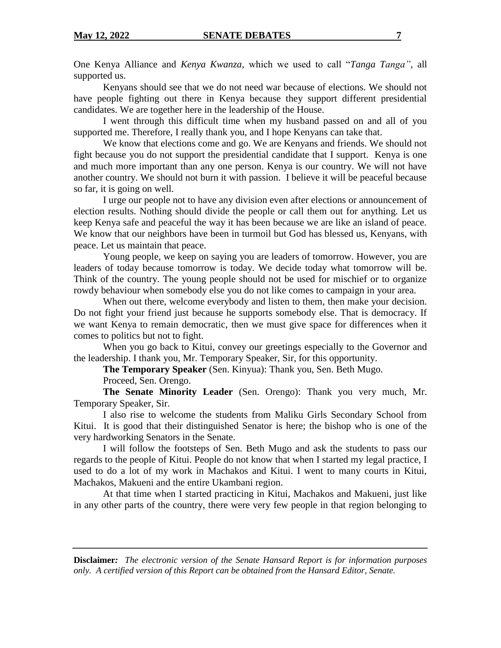One Kenya Alliance and *Kenya Kwanza,* which we used to call "*Tanga Tanga",* all supported us.

Kenyans should see that we do not need war because of elections. We should not have people fighting out there in Kenya because they support different presidential candidates. We are together here in the leadership of the House.

I went through this difficult time when my husband passed on and all of you supported me. Therefore, I really thank you, and I hope Kenyans can take that.

We know that elections come and go. We are Kenyans and friends. We should not fight because you do not support the presidential candidate that I support. Kenya is one and much more important than any one person. Kenya is our country. We will not have another country. We should not burn it with passion. I believe it will be peaceful because so far, it is going on well.

I urge our people not to have any division even after elections or announcement of election results. Nothing should divide the people or call them out for anything. Let us keep Kenya safe and peaceful the way it has been because we are like an island of peace. We know that our neighbors have been in turmoil but God has blessed us, Kenyans, with peace. Let us maintain that peace.

Young people, we keep on saying you are leaders of tomorrow. However, you are leaders of today because tomorrow is today. We decide today what tomorrow will be. Think of the country. The young people should not be used for mischief or to organize rowdy behaviour when somebody else you do not like comes to campaign in your area.

When out there, welcome everybody and listen to them, then make your decision. Do not fight your friend just because he supports somebody else. That is democracy. If we want Kenya to remain democratic, then we must give space for differences when it comes to politics but not to fight.

When you go back to Kitui, convey our greetings especially to the Governor and the leadership. I thank you, Mr. Temporary Speaker, Sir, for this opportunity.

**The Temporary Speaker** (Sen. Kinyua): Thank you, Sen. Beth Mugo.

Proceed, Sen. Orengo.

**The Senate Minority Leader** (Sen. Orengo): Thank you very much, Mr. Temporary Speaker, Sir.

I also rise to welcome the students from Maliku Girls Secondary School from Kitui. It is good that their distinguished Senator is here; the bishop who is one of the very hardworking Senators in the Senate.

I will follow the footsteps of Sen. Beth Mugo and ask the students to pass our regards to the people of Kitui. People do not know that when I started my legal practice, I used to do a lot of my work in Machakos and Kitui. I went to many courts in Kitui, Machakos, Makueni and the entire Ukambani region.

At that time when I started practicing in Kitui, Machakos and Makueni, just like in any other parts of the country, there were very few people in that region belonging to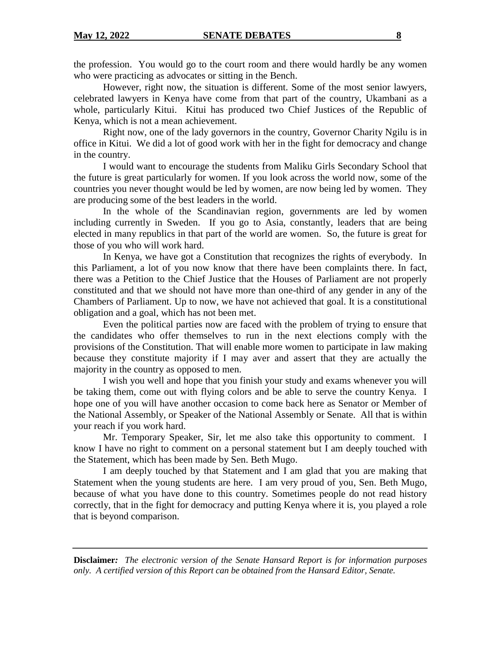the profession. You would go to the court room and there would hardly be any women who were practicing as advocates or sitting in the Bench.

However, right now, the situation is different. Some of the most senior lawyers, celebrated lawyers in Kenya have come from that part of the country, Ukambani as a whole, particularly Kitui. Kitui has produced two Chief Justices of the Republic of Kenya, which is not a mean achievement.

Right now, one of the lady governors in the country, Governor Charity Ngilu is in office in Kitui. We did a lot of good work with her in the fight for democracy and change in the country.

I would want to encourage the students from Maliku Girls Secondary School that the future is great particularly for women. If you look across the world now, some of the countries you never thought would be led by women, are now being led by women. They are producing some of the best leaders in the world.

In the whole of the Scandinavian region, governments are led by women including currently in Sweden. If you go to Asia, constantly, leaders that are being elected in many republics in that part of the world are women. So, the future is great for those of you who will work hard.

In Kenya, we have got a Constitution that recognizes the rights of everybody. In this Parliament, a lot of you now know that there have been complaints there. In fact, there was a Petition to the Chief Justice that the Houses of Parliament are not properly constituted and that we should not have more than one-third of any gender in any of the Chambers of Parliament. Up to now, we have not achieved that goal. It is a constitutional obligation and a goal, which has not been met.

Even the political parties now are faced with the problem of trying to ensure that the candidates who offer themselves to run in the next elections comply with the provisions of the Constitution. That will enable more women to participate in law making because they constitute majority if I may aver and assert that they are actually the majority in the country as opposed to men.

I wish you well and hope that you finish your study and exams whenever you will be taking them, come out with flying colors and be able to serve the country Kenya. I hope one of you will have another occasion to come back here as Senator or Member of the National Assembly, or Speaker of the National Assembly or Senate. All that is within your reach if you work hard.

Mr. Temporary Speaker, Sir, let me also take this opportunity to comment. I know I have no right to comment on a personal statement but I am deeply touched with the Statement, which has been made by Sen. Beth Mugo.

I am deeply touched by that Statement and I am glad that you are making that Statement when the young students are here. I am very proud of you, Sen. Beth Mugo, because of what you have done to this country. Sometimes people do not read history correctly, that in the fight for democracy and putting Kenya where it is, you played a role that is beyond comparison.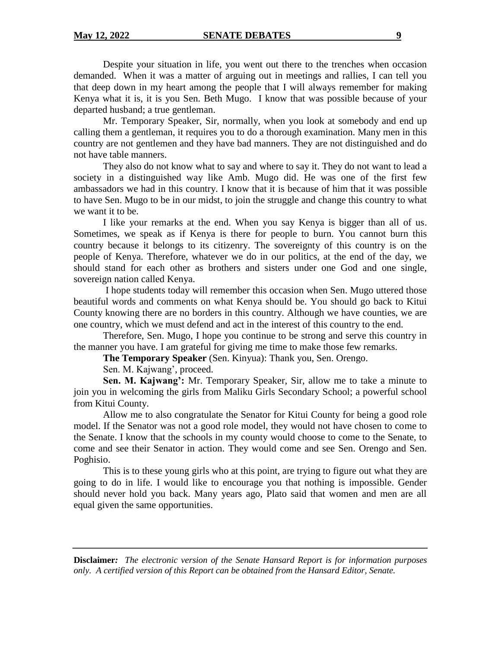Despite your situation in life, you went out there to the trenches when occasion demanded. When it was a matter of arguing out in meetings and rallies, I can tell you that deep down in my heart among the people that I will always remember for making Kenya what it is, it is you Sen. Beth Mugo. I know that was possible because of your departed husband; a true gentleman.

Mr. Temporary Speaker, Sir, normally, when you look at somebody and end up calling them a gentleman, it requires you to do a thorough examination. Many men in this country are not gentlemen and they have bad manners. They are not distinguished and do not have table manners.

They also do not know what to say and where to say it. They do not want to lead a society in a distinguished way like Amb. Mugo did. He was one of the first few ambassadors we had in this country. I know that it is because of him that it was possible to have Sen. Mugo to be in our midst, to join the struggle and change this country to what we want it to be.

I like your remarks at the end. When you say Kenya is bigger than all of us. Sometimes, we speak as if Kenya is there for people to burn. You cannot burn this country because it belongs to its citizenry. The sovereignty of this country is on the people of Kenya. Therefore, whatever we do in our politics, at the end of the day, we should stand for each other as brothers and sisters under one God and one single, sovereign nation called Kenya.

I hope students today will remember this occasion when Sen. Mugo uttered those beautiful words and comments on what Kenya should be. You should go back to Kitui County knowing there are no borders in this country. Although we have counties, we are one country, which we must defend and act in the interest of this country to the end.

Therefore, Sen. Mugo, I hope you continue to be strong and serve this country in the manner you have. I am grateful for giving me time to make those few remarks.

**The Temporary Speaker** (Sen. Kinyua): Thank you, Sen. Orengo.

Sen. M. Kajwang', proceed.

**Sen. M. Kajwang':** Mr. Temporary Speaker, Sir, allow me to take a minute to join you in welcoming the girls from Maliku Girls Secondary School; a powerful school from Kitui County.

Allow me to also congratulate the Senator for Kitui County for being a good role model. If the Senator was not a good role model, they would not have chosen to come to the Senate. I know that the schools in my county would choose to come to the Senate, to come and see their Senator in action. They would come and see Sen. Orengo and Sen. Poghisio.

This is to these young girls who at this point, are trying to figure out what they are going to do in life. I would like to encourage you that nothing is impossible. Gender should never hold you back. Many years ago, Plato said that women and men are all equal given the same opportunities.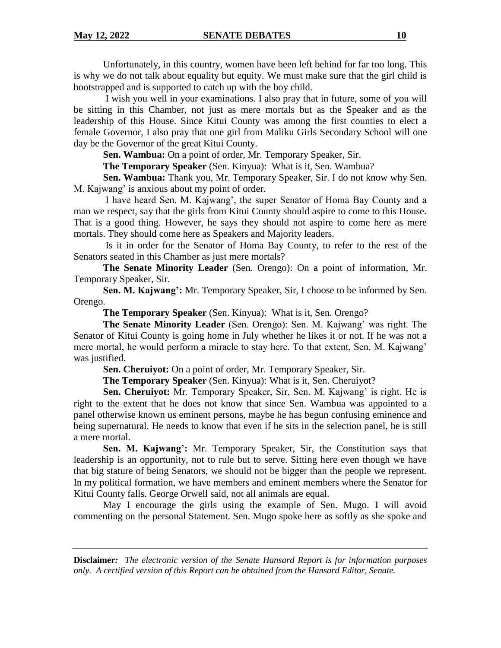Unfortunately, in this country, women have been left behind for far too long. This is why we do not talk about equality but equity. We must make sure that the girl child is bootstrapped and is supported to catch up with the boy child.

I wish you well in your examinations. I also pray that in future, some of you will be sitting in this Chamber, not just as mere mortals but as the Speaker and as the leadership of this House. Since Kitui County was among the first counties to elect a female Governor, I also pray that one girl from Maliku Girls Secondary School will one day be the Governor of the great Kitui County.

**Sen. Wambua:** On a point of order, Mr. Temporary Speaker, Sir.

**The Temporary Speaker** (Sen. Kinyua): What is it, Sen. Wambua?

**Sen. Wambua:** Thank you, Mr. Temporary Speaker, Sir. I do not know why Sen. M. Kajwang' is anxious about my point of order.

I have heard Sen. M. Kajwang', the super Senator of Homa Bay County and a man we respect, say that the girls from Kitui County should aspire to come to this House. That is a good thing. However, he says they should not aspire to come here as mere mortals. They should come here as Speakers and Majority leaders.

Is it in order for the Senator of Homa Bay County, to refer to the rest of the Senators seated in this Chamber as just mere mortals?

**The Senate Minority Leader** (Sen. Orengo): On a point of information, Mr. Temporary Speaker, Sir.

**Sen. M. Kajwang':** Mr. Temporary Speaker, Sir, I choose to be informed by Sen. Orengo.

**The Temporary Speaker** (Sen. Kinyua): What is it, Sen. Orengo?

**The Senate Minority Leader** (Sen. Orengo): Sen. M. Kajwang' was right. The Senator of Kitui County is going home in July whether he likes it or not. If he was not a mere mortal, he would perform a miracle to stay here. To that extent, Sen. M. Kajwang' was justified.

**Sen. Cheruiyot:** On a point of order, Mr. Temporary Speaker, Sir.

**The Temporary Speaker** (Sen. Kinyua): What is it, Sen. Cheruiyot?

**Sen. Cheruiyot:** Mr. Temporary Speaker, Sir, Sen. M. Kajwang' is right. He is right to the extent that he does not know that since Sen. Wambua was appointed to a panel otherwise known us eminent persons, maybe he has begun confusing eminence and being supernatural. He needs to know that even if he sits in the selection panel, he is still a mere mortal.

**Sen. M. Kajwang':** Mr. Temporary Speaker, Sir, the Constitution says that leadership is an opportunity, not to rule but to serve. Sitting here even though we have that big stature of being Senators, we should not be bigger than the people we represent. In my political formation, we have members and eminent members where the Senator for Kitui County falls. George Orwell said, not all animals are equal.

May I encourage the girls using the example of Sen. Mugo. I will avoid commenting on the personal Statement. Sen. Mugo spoke here as softly as she spoke and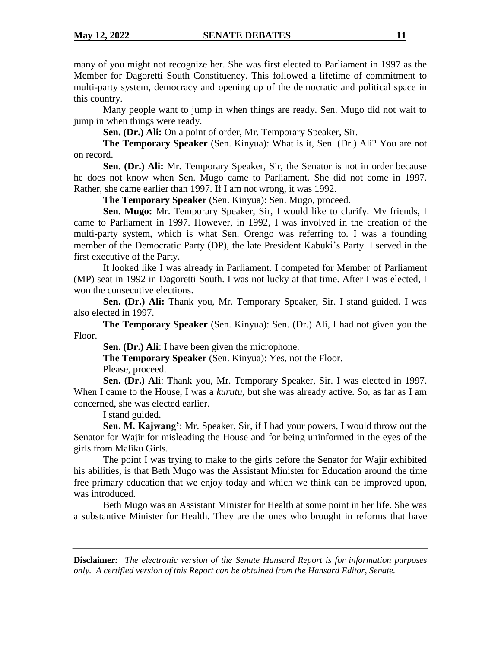many of you might not recognize her. She was first elected to Parliament in 1997 as the Member for Dagoretti South Constituency. This followed a lifetime of commitment to multi-party system, democracy and opening up of the democratic and political space in this country.

Many people want to jump in when things are ready. Sen. Mugo did not wait to jump in when things were ready.

**Sen. (Dr.) Ali:** On a point of order, Mr. Temporary Speaker, Sir.

**The Temporary Speaker** (Sen. Kinyua): What is it, Sen. (Dr.) Ali? You are not on record.

**Sen. (Dr.) Ali:** Mr. Temporary Speaker, Sir, the Senator is not in order because he does not know when Sen. Mugo came to Parliament. She did not come in 1997. Rather, she came earlier than 1997. If I am not wrong, it was 1992.

**The Temporary Speaker** (Sen. Kinyua): Sen. Mugo, proceed.

**Sen. Mugo:** Mr. Temporary Speaker, Sir, I would like to clarify. My friends, I came to Parliament in 1997. However, in 1992, I was involved in the creation of the multi-party system, which is what Sen. Orengo was referring to. I was a founding member of the Democratic Party (DP), the late President Kabuki's Party. I served in the first executive of the Party.

It looked like I was already in Parliament. I competed for Member of Parliament (MP) seat in 1992 in Dagoretti South. I was not lucky at that time. After I was elected, I won the consecutive elections.

**Sen. (Dr.) Ali:** Thank you, Mr. Temporary Speaker, Sir. I stand guided. I was also elected in 1997.

**The Temporary Speaker** (Sen. Kinyua): Sen. (Dr.) Ali, I had not given you the Floor.

**Sen. (Dr.) Ali**: I have been given the microphone.

**The Temporary Speaker** (Sen. Kinyua): Yes, not the Floor.

Please, proceed.

**Sen. (Dr.) Ali**: Thank you, Mr. Temporary Speaker, Sir. I was elected in 1997. When I came to the House, I was a *kurutu,* but she was already active. So, as far as I am concerned, she was elected earlier.

I stand guided.

**Sen. M. Kajwang'**: Mr. Speaker, Sir, if I had your powers, I would throw out the Senator for Wajir for misleading the House and for being uninformed in the eyes of the girls from Maliku Girls.

The point I was trying to make to the girls before the Senator for Wajir exhibited his abilities, is that Beth Mugo was the Assistant Minister for Education around the time free primary education that we enjoy today and which we think can be improved upon, was introduced.

Beth Mugo was an Assistant Minister for Health at some point in her life. She was a substantive Minister for Health. They are the ones who brought in reforms that have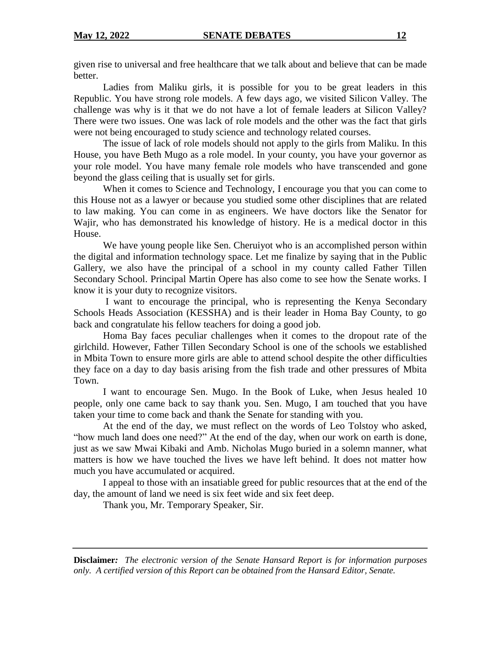given rise to universal and free healthcare that we talk about and believe that can be made better.

Ladies from Maliku girls, it is possible for you to be great leaders in this Republic. You have strong role models. A few days ago, we visited Silicon Valley. The challenge was why is it that we do not have a lot of female leaders at Silicon Valley? There were two issues. One was lack of role models and the other was the fact that girls were not being encouraged to study science and technology related courses.

The issue of lack of role models should not apply to the girls from Maliku. In this House, you have Beth Mugo as a role model. In your county, you have your governor as your role model. You have many female role models who have transcended and gone beyond the glass ceiling that is usually set for girls.

When it comes to Science and Technology, I encourage you that you can come to this House not as a lawyer or because you studied some other disciplines that are related to law making. You can come in as engineers. We have doctors like the Senator for Wajir, who has demonstrated his knowledge of history. He is a medical doctor in this House.

We have young people like Sen. Cheruiyot who is an accomplished person within the digital and information technology space. Let me finalize by saying that in the Public Gallery, we also have the principal of a school in my county called Father Tillen Secondary School. Principal Martin Opere has also come to see how the Senate works. I know it is your duty to recognize visitors.

I want to encourage the principal, who is representing the Kenya Secondary Schools Heads Association (KESSHA) and is their leader in Homa Bay County, to go back and congratulate his fellow teachers for doing a good job.

Homa Bay faces peculiar challenges when it comes to the dropout rate of the girlchild. However, Father Tillen Secondary School is one of the schools we established in Mbita Town to ensure more girls are able to attend school despite the other difficulties they face on a day to day basis arising from the fish trade and other pressures of Mbita Town.

I want to encourage Sen. Mugo. In the Book of Luke, when Jesus healed 10 people, only one came back to say thank you. Sen. Mugo, I am touched that you have taken your time to come back and thank the Senate for standing with you.

At the end of the day, we must reflect on the words of Leo Tolstoy who asked, "how much land does one need?" At the end of the day, when our work on earth is done, just as we saw Mwai Kibaki and Amb. Nicholas Mugo buried in a solemn manner, what matters is how we have touched the lives we have left behind. It does not matter how much you have accumulated or acquired.

I appeal to those with an insatiable greed for public resources that at the end of the day, the amount of land we need is six feet wide and six feet deep.

Thank you, Mr. Temporary Speaker, Sir.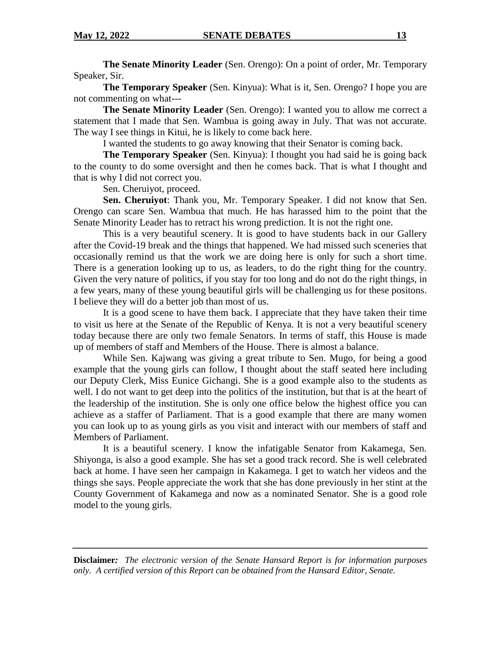**The Senate Minority Leader** (Sen. Orengo): On a point of order, Mr. Temporary Speaker, Sir.

**The Temporary Speaker** (Sen. Kinyua): What is it, Sen. Orengo? I hope you are not commenting on what---

**The Senate Minority Leader** (Sen. Orengo): I wanted you to allow me correct a statement that I made that Sen. Wambua is going away in July. That was not accurate. The way I see things in Kitui, he is likely to come back here.

I wanted the students to go away knowing that their Senator is coming back.

**The Temporary Speaker** (Sen. Kinyua): I thought you had said he is going back to the county to do some oversight and then he comes back. That is what I thought and that is why I did not correct you.

Sen. Cheruiyot, proceed.

**Sen. Cheruiyot**: Thank you, Mr. Temporary Speaker. I did not know that Sen. Orengo can scare Sen. Wambua that much. He has harassed him to the point that the Senate Minority Leader has to retract his wrong prediction. It is not the right one.

This is a very beautiful scenery. It is good to have students back in our Gallery after the Covid-19 break and the things that happened. We had missed such sceneries that occasionally remind us that the work we are doing here is only for such a short time. There is a generation looking up to us, as leaders, to do the right thing for the country. Given the very nature of politics, if you stay for too long and do not do the right things, in a few years, many of these young beautiful girls will be challenging us for these positons. I believe they will do a better job than most of us.

It is a good scene to have them back. I appreciate that they have taken their time to visit us here at the Senate of the Republic of Kenya. It is not a very beautiful scenery today because there are only two female Senators. In terms of staff, this House is made up of members of staff and Members of the House. There is almost a balance.

While Sen. Kajwang was giving a great tribute to Sen. Mugo, for being a good example that the young girls can follow, I thought about the staff seated here including our Deputy Clerk, Miss Eunice Gichangi. She is a good example also to the students as well. I do not want to get deep into the politics of the institution, but that is at the heart of the leadership of the institution. She is only one office below the highest office you can achieve as a staffer of Parliament. That is a good example that there are many women you can look up to as young girls as you visit and interact with our members of staff and Members of Parliament.

It is a beautiful scenery. I know the infatigable Senator from Kakamega, Sen. Shiyonga, is also a good example. She has set a good track record. She is well celebrated back at home. I have seen her campaign in Kakamega. I get to watch her videos and the things she says. People appreciate the work that she has done previously in her stint at the County Government of Kakamega and now as a nominated Senator. She is a good role model to the young girls.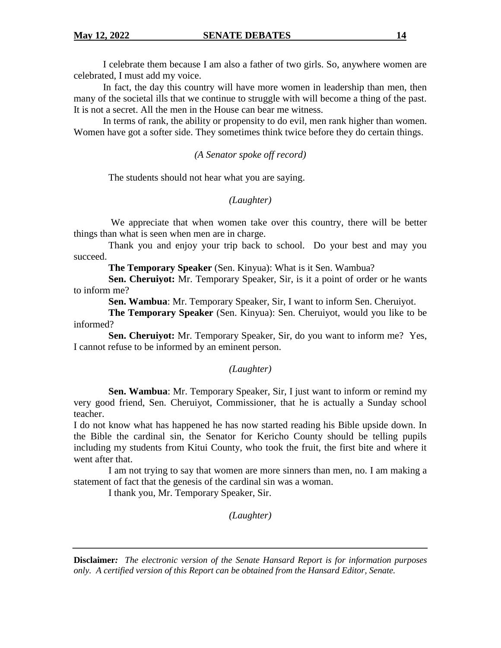I celebrate them because I am also a father of two girls. So, anywhere women are celebrated, I must add my voice.

In fact, the day this country will have more women in leadership than men, then many of the societal ills that we continue to struggle with will become a thing of the past. It is not a secret. All the men in the House can bear me witness.

In terms of rank, the ability or propensity to do evil, men rank higher than women. Women have got a softer side. They sometimes think twice before they do certain things.

*(A Senator spoke off record)*

The students should not hear what you are saying.

*(Laughter)*

We appreciate that when women take over this country, there will be better things than what is seen when men are in charge.

Thank you and enjoy your trip back to school. Do your best and may you succeed.

**The Temporary Speaker** (Sen. Kinyua): What is it Sen. Wambua?

**Sen. Cheruiyot:** Mr. Temporary Speaker, Sir, is it a point of order or he wants to inform me?

**Sen. Wambua**: Mr. Temporary Speaker, Sir, I want to inform Sen. Cheruiyot.

**The Temporary Speaker** (Sen. Kinyua): Sen. Cheruiyot, would you like to be informed?

**Sen. Cheruiyot:** Mr. Temporary Speaker, Sir, do you want to inform me? Yes, I cannot refuse to be informed by an eminent person.

## *(Laughter)*

**Sen. Wambua**: Mr. Temporary Speaker, Sir, I just want to inform or remind my very good friend, Sen. Cheruiyot, Commissioner, that he is actually a Sunday school teacher.

I do not know what has happened he has now started reading his Bible upside down. In the Bible the cardinal sin, the Senator for Kericho County should be telling pupils including my students from Kitui County, who took the fruit, the first bite and where it went after that.

I am not trying to say that women are more sinners than men, no. I am making a statement of fact that the genesis of the cardinal sin was a woman.

I thank you, Mr. Temporary Speaker, Sir.

*(Laughter)*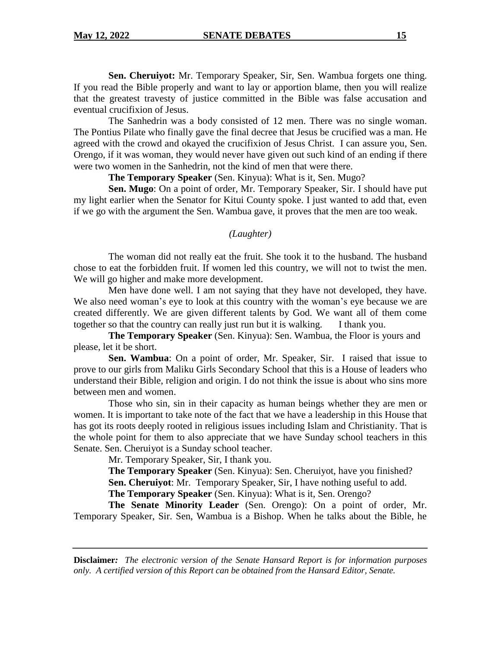**Sen. Cheruiyot:** Mr. Temporary Speaker, Sir, Sen. Wambua forgets one thing. If you read the Bible properly and want to lay or apportion blame, then you will realize that the greatest travesty of justice committed in the Bible was false accusation and eventual crucifixion of Jesus.

The Sanhedrin was a body consisted of 12 men. There was no single woman. The Pontius Pilate who finally gave the final decree that Jesus be crucified was a man. He agreed with the crowd and okayed the crucifixion of Jesus Christ. I can assure you, Sen. Orengo, if it was woman, they would never have given out such kind of an ending if there were two women in the Sanhedrin, not the kind of men that were there.

**The Temporary Speaker** (Sen. Kinyua): What is it, Sen. Mugo?

**Sen. Mugo**: On a point of order, Mr. Temporary Speaker, Sir. I should have put my light earlier when the Senator for Kitui County spoke. I just wanted to add that, even if we go with the argument the Sen. Wambua gave, it proves that the men are too weak.

#### *(Laughter)*

The woman did not really eat the fruit. She took it to the husband. The husband chose to eat the forbidden fruit. If women led this country, we will not to twist the men. We will go higher and make more development.

Men have done well. I am not saying that they have not developed, they have. We also need woman's eye to look at this country with the woman's eye because we are created differently. We are given different talents by God. We want all of them come together so that the country can really just run but it is walking. I thank you.

**The Temporary Speaker** (Sen. Kinyua): Sen. Wambua, the Floor is yours and please, let it be short.

**Sen. Wambua**: On a point of order, Mr. Speaker, Sir. I raised that issue to prove to our girls from Maliku Girls Secondary School that this is a House of leaders who understand their Bible, religion and origin. I do not think the issue is about who sins more between men and women.

Those who sin, sin in their capacity as human beings whether they are men or women. It is important to take note of the fact that we have a leadership in this House that has got its roots deeply rooted in religious issues including Islam and Christianity. That is the whole point for them to also appreciate that we have Sunday school teachers in this Senate. Sen. Cheruiyot is a Sunday school teacher.

Mr. Temporary Speaker, Sir, I thank you.

**The Temporary Speaker** (Sen. Kinyua): Sen. Cheruiyot, have you finished?

**Sen. Cheruiyot**: Mr. Temporary Speaker, Sir, I have nothing useful to add.

**The Temporary Speaker** (Sen. Kinyua): What is it, Sen. Orengo?

**The Senate Minority Leader** (Sen. Orengo): On a point of order, Mr. Temporary Speaker, Sir. Sen, Wambua is a Bishop. When he talks about the Bible, he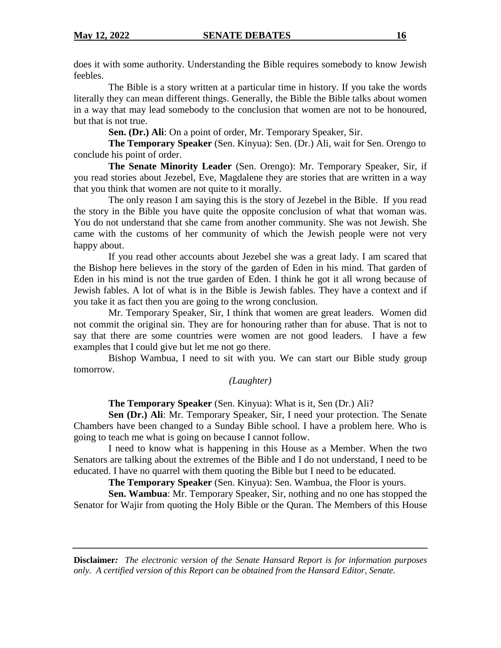does it with some authority. Understanding the Bible requires somebody to know Jewish feebles.

The Bible is a story written at a particular time in history. If you take the words literally they can mean different things. Generally, the Bible the Bible talks about women in a way that may lead somebody to the conclusion that women are not to be honoured, but that is not true.

**Sen. (Dr.) Ali**: On a point of order, Mr. Temporary Speaker, Sir.

**The Temporary Speaker** (Sen. Kinyua): Sen. (Dr.) Ali, wait for Sen. Orengo to conclude his point of order.

**The Senate Minority Leader** (Sen. Orengo): Mr. Temporary Speaker, Sir, if you read stories about Jezebel, Eve, Magdalene they are stories that are written in a way that you think that women are not quite to it morally.

The only reason I am saying this is the story of Jezebel in the Bible. If you read the story in the Bible you have quite the opposite conclusion of what that woman was. You do not understand that she came from another community. She was not Jewish. She came with the customs of her community of which the Jewish people were not very happy about.

If you read other accounts about Jezebel she was a great lady. I am scared that the Bishop here believes in the story of the garden of Eden in his mind. That garden of Eden in his mind is not the true garden of Eden. I think he got it all wrong because of Jewish fables. A lot of what is in the Bible is Jewish fables. They have a context and if you take it as fact then you are going to the wrong conclusion.

Mr. Temporary Speaker, Sir, I think that women are great leaders. Women did not commit the original sin. They are for honouring rather than for abuse. That is not to say that there are some countries were women are not good leaders. I have a few examples that I could give but let me not go there.

Bishop Wambua, I need to sit with you. We can start our Bible study group tomorrow.

## *(Laughter)*

**The Temporary Speaker** (Sen. Kinyua): What is it, Sen (Dr.) Ali?

**Sen (Dr.) Ali**: Mr. Temporary Speaker, Sir, I need your protection. The Senate Chambers have been changed to a Sunday Bible school. I have a problem here. Who is going to teach me what is going on because I cannot follow.

I need to know what is happening in this House as a Member. When the two Senators are talking about the extremes of the Bible and I do not understand, I need to be educated. I have no quarrel with them quoting the Bible but I need to be educated.

**The Temporary Speaker** (Sen. Kinyua): Sen. Wambua, the Floor is yours.

**Sen. Wambua**: Mr. Temporary Speaker, Sir, nothing and no one has stopped the Senator for Wajir from quoting the Holy Bible or the Quran. The Members of this House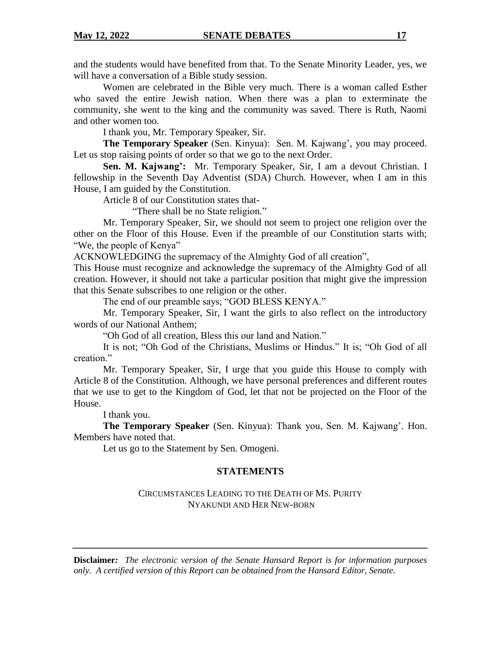and the students would have benefited from that. To the Senate Minority Leader, yes, we will have a conversation of a Bible study session.

Women are celebrated in the Bible very much. There is a woman called Esther who saved the entire Jewish nation. When there was a plan to exterminate the community, she went to the king and the community was saved. There is Ruth, Naomi and other women too.

I thank you, Mr. Temporary Speaker, Sir.

**The Temporary Speaker** (Sen. Kinyua): Sen. M. Kajwang', you may proceed. Let us stop raising points of order so that we go to the next Order.

**Sen. M. Kajwang':** Mr. Temporary Speaker, Sir, I am a devout Christian. I fellowship in the Seventh Day Adventist (SDA) Church. However, when I am in this House, I am guided by the Constitution.

Article 8 of our Constitution states that-

"There shall be no State religion."

Mr. Temporary Speaker, Sir, we should not seem to project one religion over the other on the Floor of this House. Even if the preamble of our Constitution starts with; "We, the people of Kenya"

ACKNOWLEDGING the supremacy of the Almighty God of all creation",

This House must recognize and acknowledge the supremacy of the Almighty God of all creation. However, it should not take a particular position that might give the impression that this Senate subscribes to one religion or the other.

The end of our preamble says; "GOD BLESS KENYA."

Mr. Temporary Speaker, Sir, I want the girls to also reflect on the introductory words of our National Anthem;

"Oh God of all creation, Bless this our land and Nation."

It is not; "Oh God of the Christians, Muslims or Hindus." It is; "Oh God of all creation."

Mr. Temporary Speaker, Sir, I urge that you guide this House to comply with Article 8 of the Constitution. Although, we have personal preferences and different routes that we use to get to the Kingdom of God, let that not be projected on the Floor of the House.

I thank you.

**The Temporary Speaker** (Sen. Kinyua): Thank you, Sen. M. Kajwang'. Hon. Members have noted that.

Let us go to the Statement by Sen. Omogeni.

## **STATEMENTS**

CIRCUMSTANCES LEADING TO THE DEATH OF MS. PURITY NYAKUNDI AND HER NEW-BORN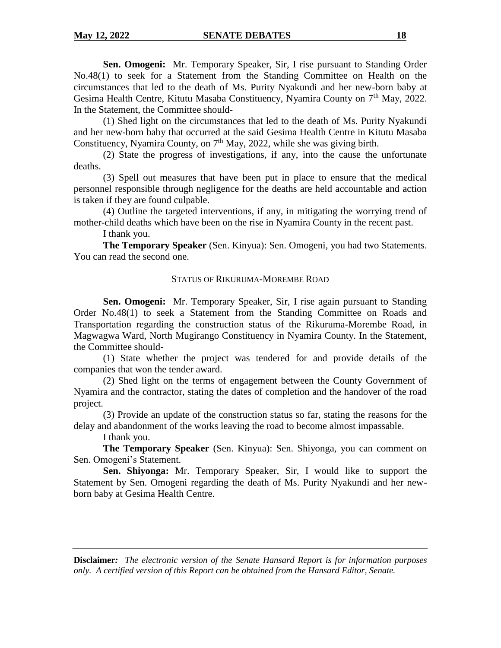**Sen. Omogeni:** Mr. Temporary Speaker, Sir, I rise pursuant to Standing Order No.48(1) to seek for a Statement from the Standing Committee on Health on the circumstances that led to the death of Ms. Purity Nyakundi and her new-born baby at Gesima Health Centre, Kitutu Masaba Constituency, Nyamira County on 7<sup>th</sup> May, 2022. In the Statement, the Committee should-

(1) Shed light on the circumstances that led to the death of Ms. Purity Nyakundi and her new-born baby that occurred at the said Gesima Health Centre in Kitutu Masaba Constituency, Nyamira County, on 7<sup>th</sup> May, 2022, while she was giving birth.

(2) State the progress of investigations, if any, into the cause the unfortunate deaths.

(3) Spell out measures that have been put in place to ensure that the medical personnel responsible through negligence for the deaths are held accountable and action is taken if they are found culpable.

(4) Outline the targeted interventions, if any, in mitigating the worrying trend of mother-child deaths which have been on the rise in Nyamira County in the recent past.

I thank you.

**The Temporary Speaker** (Sen. Kinyua): Sen. Omogeni, you had two Statements. You can read the second one.

## STATUS OF RIKURUMA-MOREMBE ROAD

**Sen. Omogeni:** Mr. Temporary Speaker, Sir, I rise again pursuant to Standing Order No.48(1) to seek a Statement from the Standing Committee on Roads and Transportation regarding the construction status of the Rikuruma-Morembe Road, in Magwagwa Ward, North Mugirango Constituency in Nyamira County. In the Statement, the Committee should-

(1) State whether the project was tendered for and provide details of the companies that won the tender award.

(2) Shed light on the terms of engagement between the County Government of Nyamira and the contractor, stating the dates of completion and the handover of the road project.

(3) Provide an update of the construction status so far, stating the reasons for the delay and abandonment of the works leaving the road to become almost impassable.

I thank you.

**The Temporary Speaker** (Sen. Kinyua): Sen. Shiyonga, you can comment on Sen. Omogeni's Statement.

**Sen. Shiyonga:** Mr. Temporary Speaker, Sir, I would like to support the Statement by Sen. Omogeni regarding the death of Ms. Purity Nyakundi and her newborn baby at Gesima Health Centre.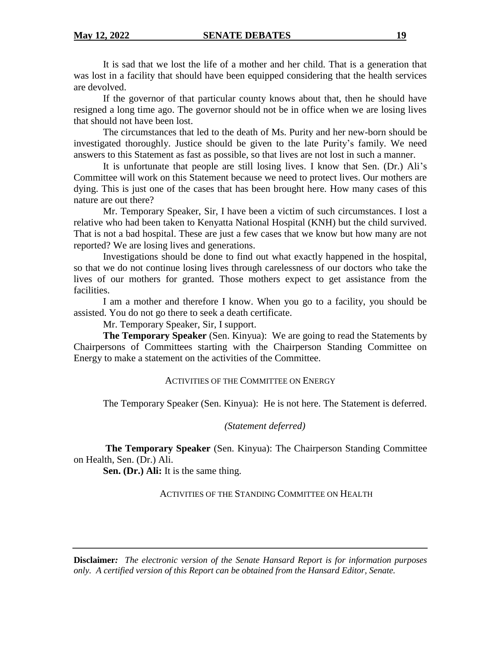It is sad that we lost the life of a mother and her child. That is a generation that was lost in a facility that should have been equipped considering that the health services are devolved.

If the governor of that particular county knows about that, then he should have resigned a long time ago. The governor should not be in office when we are losing lives that should not have been lost.

The circumstances that led to the death of Ms. Purity and her new-born should be investigated thoroughly. Justice should be given to the late Purity's family. We need answers to this Statement as fast as possible, so that lives are not lost in such a manner.

It is unfortunate that people are still losing lives. I know that Sen. (Dr.) Ali's Committee will work on this Statement because we need to protect lives. Our mothers are dying. This is just one of the cases that has been brought here. How many cases of this nature are out there?

Mr. Temporary Speaker, Sir, I have been a victim of such circumstances. I lost a relative who had been taken to Kenyatta National Hospital (KNH) but the child survived. That is not a bad hospital. These are just a few cases that we know but how many are not reported? We are losing lives and generations.

Investigations should be done to find out what exactly happened in the hospital, so that we do not continue losing lives through carelessness of our doctors who take the lives of our mothers for granted. Those mothers expect to get assistance from the facilities.

I am a mother and therefore I know. When you go to a facility, you should be assisted. You do not go there to seek a death certificate.

Mr. Temporary Speaker, Sir, I support.

**The Temporary Speaker** (Sen. Kinyua): We are going to read the Statements by Chairpersons of Committees starting with the Chairperson Standing Committee on Energy to make a statement on the activities of the Committee.

#### ACTIVITIES OF THE COMMITTEE ON ENERGY

The Temporary Speaker (Sen. Kinyua): He is not here. The Statement is deferred.

*(Statement deferred)*

**The Temporary Speaker** (Sen. Kinyua): The Chairperson Standing Committee on Health, Sen. (Dr.) Ali.

**Sen. (Dr.) Ali:** It is the same thing.

ACTIVITIES OF THE STANDING COMMITTEE ON HEALTH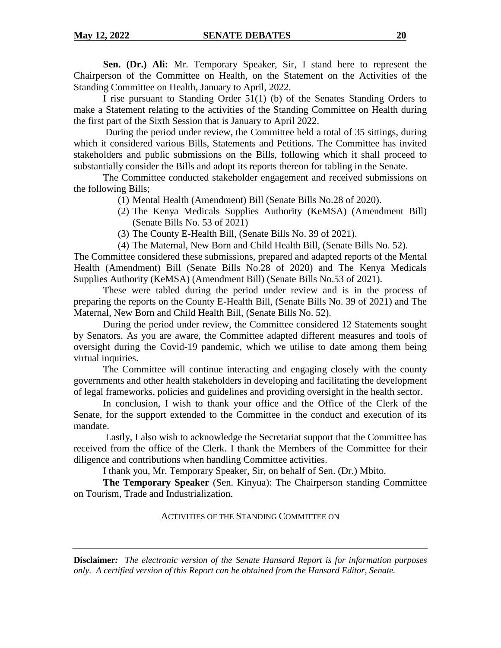**Sen. (Dr.) Ali:** Mr. Temporary Speaker, Sir, I stand here to represent the Chairperson of the Committee on Health, on the Statement on the Activities of the Standing Committee on Health, January to April, 2022.

I rise pursuant to Standing Order 51(1) (b) of the Senates Standing Orders to make a Statement relating to the activities of the Standing Committee on Health during the first part of the Sixth Session that is January to April 2022.

During the period under review, the Committee held a total of 35 sittings, during which it considered various Bills, Statements and Petitions. The Committee has invited stakeholders and public submissions on the Bills, following which it shall proceed to substantially consider the Bills and adopt its reports thereon for tabling in the Senate.

The Committee conducted stakeholder engagement and received submissions on the following Bills;

(1) Mental Health (Amendment) Bill (Senate Bills No.28 of 2020).

- (2) The Kenya Medicals Supplies Authority (KeMSA) (Amendment Bill) (Senate Bills No. 53 of 2021)
- (3) The County E-Health Bill, (Senate Bills No. 39 of 2021).
- (4) The Maternal, New Born and Child Health Bill, (Senate Bills No. 52).

The Committee considered these submissions, prepared and adapted reports of the Mental Health (Amendment) Bill (Senate Bills No.28 of 2020) and The Kenya Medicals Supplies Authority (KeMSA) (Amendment Bill) (Senate Bills No.53 of 2021).

These were tabled during the period under review and is in the process of preparing the reports on the County E-Health Bill, (Senate Bills No. 39 of 2021) and The Maternal, New Born and Child Health Bill, (Senate Bills No. 52).

During the period under review, the Committee considered 12 Statements sought by Senators. As you are aware, the Committee adapted different measures and tools of oversight during the Covid-19 pandemic, which we utilise to date among them being virtual inquiries.

The Committee will continue interacting and engaging closely with the county governments and other health stakeholders in developing and facilitating the development of legal frameworks, policies and guidelines and providing oversight in the health sector.

In conclusion, I wish to thank your office and the Office of the Clerk of the Senate, for the support extended to the Committee in the conduct and execution of its mandate.

Lastly, I also wish to acknowledge the Secretariat support that the Committee has received from the office of the Clerk. I thank the Members of the Committee for their diligence and contributions when handling Committee activities.

I thank you, Mr. Temporary Speaker, Sir, on behalf of Sen. (Dr.) Mbito.

**The Temporary Speaker** (Sen. Kinyua): The Chairperson standing Committee on Tourism, Trade and Industrialization.

ACTIVITIES OF THE STANDING COMMITTEE ON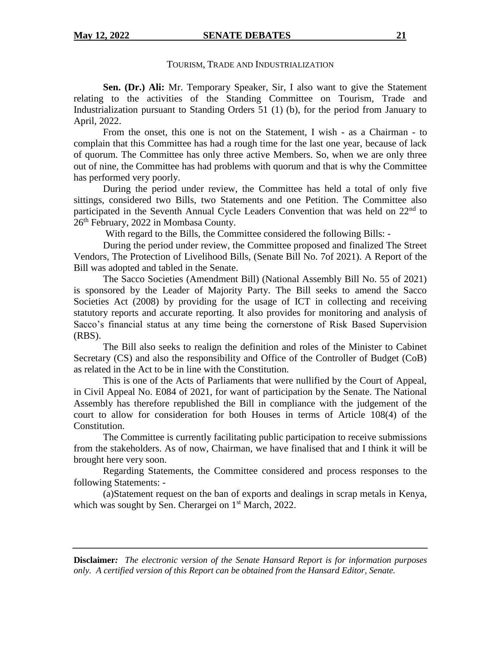#### **May 12, 2022 SENATE DEBATES 21**

#### TOURISM, TRADE AND INDUSTRIALIZATION

**Sen. (Dr.) Ali:** Mr. Temporary Speaker, Sir, I also want to give the Statement relating to the activities of the Standing Committee on Tourism, Trade and Industrialization pursuant to Standing Orders 51 (1) (b), for the period from January to April, 2022.

From the onset, this one is not on the Statement, I wish - as a Chairman - to complain that this Committee has had a rough time for the last one year, because of lack of quorum. The Committee has only three active Members. So, when we are only three out of nine, the Committee has had problems with quorum and that is why the Committee has performed very poorly.

During the period under review, the Committee has held a total of only five sittings, considered two Bills, two Statements and one Petition. The Committee also participated in the Seventh Annual Cycle Leaders Convention that was held on 22<sup>nd</sup> to 26<sup>th</sup> February, 2022 in Mombasa County.

With regard to the Bills, the Committee considered the following Bills: -

During the period under review, the Committee proposed and finalized The Street Vendors, The Protection of Livelihood Bills, (Senate Bill No. 7of 2021). A Report of the Bill was adopted and tabled in the Senate.

The Sacco Societies (Amendment Bill) (National Assembly Bill No. 55 of 2021) is sponsored by the Leader of Majority Party. The Bill seeks to amend the Sacco Societies Act (2008) by providing for the usage of ICT in collecting and receiving statutory reports and accurate reporting. It also provides for monitoring and analysis of Sacco's financial status at any time being the cornerstone of Risk Based Supervision (RBS).

The Bill also seeks to realign the definition and roles of the Minister to Cabinet Secretary (CS) and also the responsibility and Office of the Controller of Budget (CoB) as related in the Act to be in line with the Constitution.

This is one of the Acts of Parliaments that were nullified by the Court of Appeal, in Civil Appeal No. E084 of 2021, for want of participation by the Senate. The National Assembly has therefore republished the Bill in compliance with the judgement of the court to allow for consideration for both Houses in terms of Article 108(4) of the Constitution.

The Committee is currently facilitating public participation to receive submissions from the stakeholders. As of now, Chairman, we have finalised that and I think it will be brought here very soon.

Regarding Statements, the Committee considered and process responses to the following Statements: -

(a)Statement request on the ban of exports and dealings in scrap metals in Kenya, which was sought by Sen. Cherargei on  $1<sup>st</sup> March, 2022$ .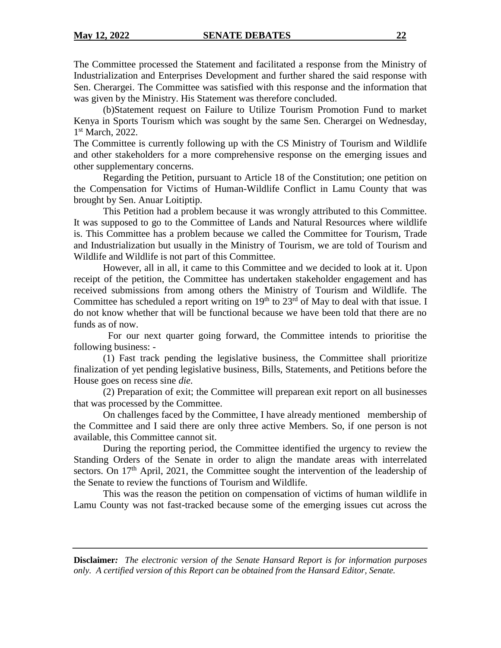The Committee processed the Statement and facilitated a response from the Ministry of Industrialization and Enterprises Development and further shared the said response with Sen. Cherargei. The Committee was satisfied with this response and the information that was given by the Ministry. His Statement was therefore concluded.

(b)Statement request on Failure to Utilize Tourism Promotion Fund to market Kenya in Sports Tourism which was sought by the same Sen. Cherargei on Wednesday, 1<sup>st</sup> March, 2022.

The Committee is currently following up with the CS Ministry of Tourism and Wildlife and other stakeholders for a more comprehensive response on the emerging issues and other supplementary concerns.

Regarding the Petition, pursuant to Article 18 of the Constitution; one petition on the Compensation for Victims of Human-Wildlife Conflict in Lamu County that was brought by Sen. Anuar Loitiptip.

This Petition had a problem because it was wrongly attributed to this Committee. It was supposed to go to the Committee of Lands and Natural Resources where wildlife is. This Committee has a problem because we called the Committee for Tourism, Trade and Industrialization but usually in the Ministry of Tourism, we are told of Tourism and Wildlife and Wildlife is not part of this Committee.

However, all in all, it came to this Committee and we decided to look at it. Upon receipt of the petition, the Committee has undertaken stakeholder engagement and has received submissions from among others the Ministry of Tourism and Wildlife. The Committee has scheduled a report writing on  $19<sup>th</sup>$  to  $23<sup>rd</sup>$  of May to deal with that issue. I do not know whether that will be functional because we have been told that there are no funds as of now.

 For our next quarter going forward, the Committee intends to prioritise the following business: -

(1) Fast track pending the legislative business, the Committee shall prioritize finalization of yet pending legislative business, Bills, Statements, and Petitions before the House goes on recess sine *die.*

(2) Preparation of exit; the Committee will preparean exit report on all businesses that was processed by the Committee.

On challenges faced by the Committee, I have already mentioned membership of the Committee and I said there are only three active Members. So, if one person is not available, this Committee cannot sit.

During the reporting period, the Committee identified the urgency to review the Standing Orders of the Senate in order to align the mandate areas with interrelated sectors. On  $17<sup>th</sup>$  April, 2021, the Committee sought the intervention of the leadership of the Senate to review the functions of Tourism and Wildlife.

This was the reason the petition on compensation of victims of human wildlife in Lamu County was not fast-tracked because some of the emerging issues cut across the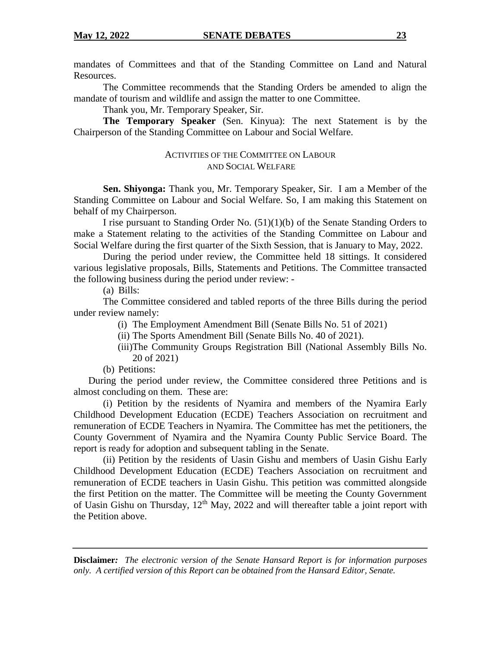mandates of Committees and that of the Standing Committee on Land and Natural Resources.

The Committee recommends that the Standing Orders be amended to align the mandate of tourism and wildlife and assign the matter to one Committee.

Thank you, Mr. Temporary Speaker, Sir.

**The Temporary Speaker** (Sen. Kinyua): The next Statement is by the Chairperson of the Standing Committee on Labour and Social Welfare.

## ACTIVITIES OF THE COMMITTEE ON LABOUR AND SOCIAL WELFARE

**Sen. Shiyonga:** Thank you, Mr. Temporary Speaker, Sir. I am a Member of the Standing Committee on Labour and Social Welfare. So, I am making this Statement on behalf of my Chairperson.

I rise pursuant to Standing Order No. (51)(1)(b) of the Senate Standing Orders to make a Statement relating to the activities of the Standing Committee on Labour and Social Welfare during the first quarter of the Sixth Session, that is January to May, 2022.

During the period under review, the Committee held 18 sittings. It considered various legislative proposals, Bills, Statements and Petitions. The Committee transacted the following business during the period under review: -

(a) Bills:

The Committee considered and tabled reports of the three Bills during the period under review namely:

(i) The Employment Amendment Bill (Senate Bills No. 51 of 2021)

(ii) The Sports Amendment Bill (Senate Bills No. 40 of 2021).

- (iii)The Community Groups Registration Bill (National Assembly Bills No. 20 of 2021)
- (b) Petitions:

During the period under review, the Committee considered three Petitions and is almost concluding on them. These are:

(i) Petition by the residents of Nyamira and members of the Nyamira Early Childhood Development Education (ECDE) Teachers Association on recruitment and remuneration of ECDE Teachers in Nyamira. The Committee has met the petitioners, the County Government of Nyamira and the Nyamira County Public Service Board. The report is ready for adoption and subsequent tabling in the Senate.

(ii) Petition by the residents of Uasin Gishu and members of Uasin Gishu Early Childhood Development Education (ECDE) Teachers Association on recruitment and remuneration of ECDE teachers in Uasin Gishu. This petition was committed alongside the first Petition on the matter. The Committee will be meeting the County Government of Uasin Gishu on Thursday,  $12<sup>th</sup>$  May, 2022 and will thereafter table a joint report with the Petition above.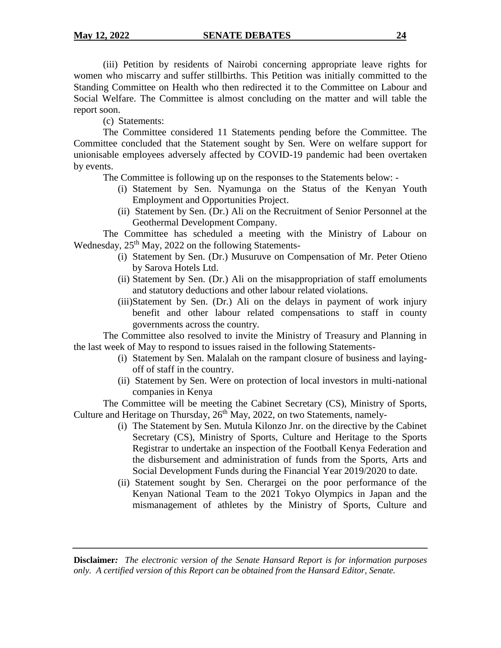(iii) Petition by residents of Nairobi concerning appropriate leave rights for women who miscarry and suffer stillbirths. This Petition was initially committed to the Standing Committee on Health who then redirected it to the Committee on Labour and Social Welfare. The Committee is almost concluding on the matter and will table the report soon.

(c) Statements:

The Committee considered 11 Statements pending before the Committee. The Committee concluded that the Statement sought by Sen. Were on welfare support for unionisable employees adversely affected by COVID-19 pandemic had been overtaken by events.

The Committee is following up on the responses to the Statements below: -

- (i) Statement by Sen. Nyamunga on the Status of the Kenyan Youth Employment and Opportunities Project.
- (ii) Statement by Sen. (Dr.) Ali on the Recruitment of Senior Personnel at the Geothermal Development Company.

The Committee has scheduled a meeting with the Ministry of Labour on Wednesday, 25<sup>th</sup> May, 2022 on the following Statements-

- (i) Statement by Sen. (Dr.) Musuruve on Compensation of Mr. Peter Otieno by Sarova Hotels Ltd.
- (ii) Statement by Sen. (Dr.) Ali on the misappropriation of staff emoluments and statutory deductions and other labour related violations.
- (iii)Statement by Sen. (Dr.) Ali on the delays in payment of work injury benefit and other labour related compensations to staff in county governments across the country.

The Committee also resolved to invite the Ministry of Treasury and Planning in the last week of May to respond to issues raised in the following Statements-

- (i) Statement by Sen. Malalah on the rampant closure of business and layingoff of staff in the country.
- (ii) Statement by Sen. Were on protection of local investors in multi-national companies in Kenya

The Committee will be meeting the Cabinet Secretary (CS), Ministry of Sports, Culture and Heritage on Thursday,  $26<sup>th</sup>$  May, 2022, on two Statements, namely-

- (i) The Statement by Sen. Mutula Kilonzo Jnr. on the directive by the Cabinet Secretary (CS), Ministry of Sports, Culture and Heritage to the Sports Registrar to undertake an inspection of the Football Kenya Federation and the disbursement and administration of funds from the Sports, Arts and Social Development Funds during the Financial Year 2019/2020 to date.
- (ii) Statement sought by Sen. Cherargei on the poor performance of the Kenyan National Team to the 2021 Tokyo Olympics in Japan and the mismanagement of athletes by the Ministry of Sports, Culture and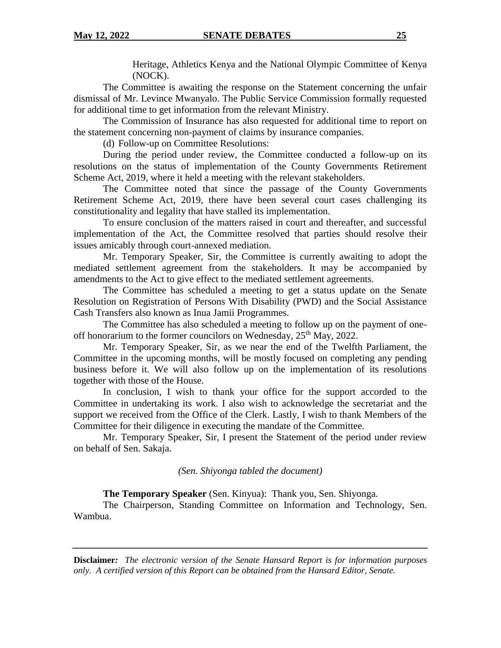Heritage, Athletics Kenya and the National Olympic Committee of Kenya (NOCK).

The Committee is awaiting the response on the Statement concerning the unfair dismissal of Mr. Levince Mwanyalo. The Public Service Commission formally requested for additional time to get information from the relevant Ministry.

The Commission of Insurance has also requested for additional time to report on the statement concerning non-payment of claims by insurance companies.

(d) Follow-up on Committee Resolutions:

During the period under review, the Committee conducted a follow-up on its resolutions on the status of implementation of the County Governments Retirement Scheme Act, 2019, where it held a meeting with the relevant stakeholders.

The Committee noted that since the passage of the County Governments Retirement Scheme Act, 2019, there have been several court cases challenging its constitutionality and legality that have stalled its implementation.

To ensure conclusion of the matters raised in court and thereafter, and successful implementation of the Act, the Committee resolved that parties should resolve their issues amicably through court-annexed mediation.

Mr. Temporary Speaker, Sir, the Committee is currently awaiting to adopt the mediated settlement agreement from the stakeholders. It may be accompanied by amendments to the Act to give effect to the mediated settlement agreements.

The Committee has scheduled a meeting to get a status update on the Senate Resolution on Registration of Persons With Disability (PWD) and the Social Assistance Cash Transfers also known as Inua Jamii Programmes.

The Committee has also scheduled a meeting to follow up on the payment of oneoff honorarium to the former councilors on Wednesday,  $25<sup>th</sup>$  May, 2022.

Mr. Temporary Speaker, Sir, as we near the end of the Twelfth Parliament, the Committee in the upcoming months, will be mostly focused on completing any pending business before it. We will also follow up on the implementation of its resolutions together with those of the House.

In conclusion, I wish to thank your office for the support accorded to the Committee in undertaking its work. I also wish to acknowledge the secretariat and the support we received from the Office of the Clerk. Lastly, I wish to thank Members of the Committee for their diligence in executing the mandate of the Committee.

Mr. Temporary Speaker, Sir, I present the Statement of the period under review on behalf of Sen. Sakaja.

*(Sen. Shiyonga tabled the document)*

**The Temporary Speaker** (Sen. Kinyua): Thank you, Sen. Shiyonga.

The Chairperson, Standing Committee on Information and Technology, Sen. Wambua.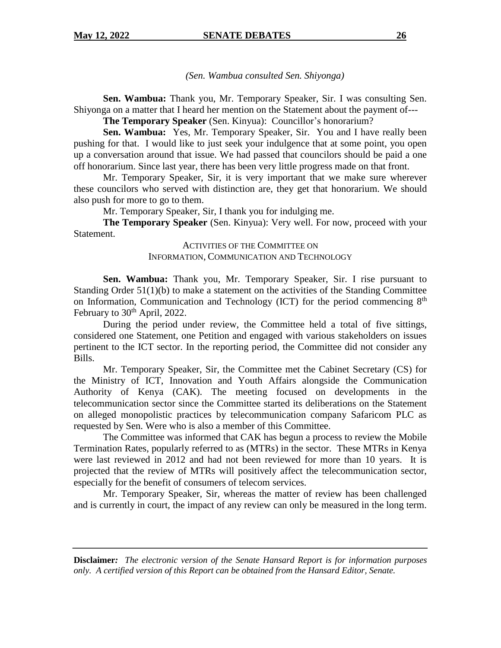*(Sen. Wambua consulted Sen. Shiyonga)*

**Sen. Wambua:** Thank you, Mr. Temporary Speaker, Sir. I was consulting Sen. Shiyonga on a matter that I heard her mention on the Statement about the payment of---

**The Temporary Speaker** (Sen. Kinyua): Councillor's honorarium?

**Sen. Wambua:** Yes, Mr. Temporary Speaker, Sir. You and I have really been pushing for that. I would like to just seek your indulgence that at some point, you open up a conversation around that issue. We had passed that councilors should be paid a one off honorarium. Since last year, there has been very little progress made on that front.

Mr. Temporary Speaker, Sir, it is very important that we make sure wherever these councilors who served with distinction are, they get that honorarium. We should also push for more to go to them.

Mr. Temporary Speaker, Sir, I thank you for indulging me.

**The Temporary Speaker** (Sen. Kinyua): Very well. For now, proceed with your Statement.

### ACTIVITIES OF THE COMMITTEE ON INFORMATION, COMMUNICATION AND TECHNOLOGY

**Sen. Wambua:** Thank you, Mr. Temporary Speaker, Sir. I rise pursuant to Standing Order 51(1)(b) to make a statement on the activities of the Standing Committee on Information, Communication and Technology (ICT) for the period commencing  $8<sup>th</sup>$ February to  $30<sup>th</sup>$  April, 2022.

During the period under review, the Committee held a total of five sittings, considered one Statement, one Petition and engaged with various stakeholders on issues pertinent to the ICT sector. In the reporting period, the Committee did not consider any Bills.

Mr. Temporary Speaker, Sir, the Committee met the Cabinet Secretary (CS) for the Ministry of ICT, Innovation and Youth Affairs alongside the Communication Authority of Kenya (CAK). The meeting focused on developments in the telecommunication sector since the Committee started its deliberations on the Statement on alleged monopolistic practices by telecommunication company Safaricom PLC as requested by Sen. Were who is also a member of this Committee.

The Committee was informed that CAK has begun a process to review the Mobile Termination Rates, popularly referred to as (MTRs) in the sector. These MTRs in Kenya were last reviewed in 2012 and had not been reviewed for more than 10 years. It is projected that the review of MTRs will positively affect the telecommunication sector, especially for the benefit of consumers of telecom services.

Mr. Temporary Speaker, Sir, whereas the matter of review has been challenged and is currently in court, the impact of any review can only be measured in the long term.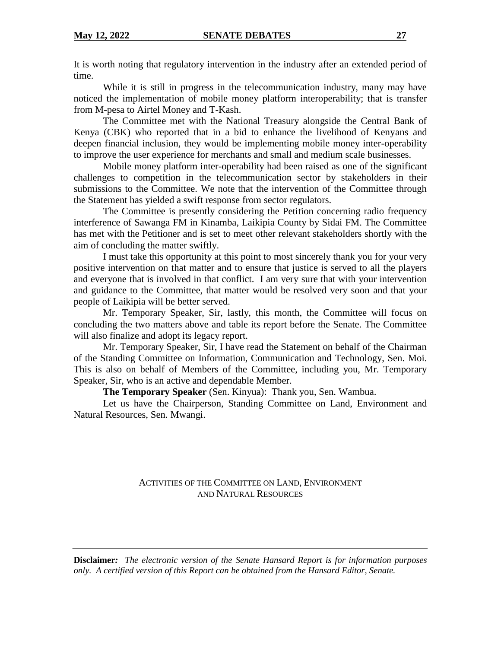It is worth noting that regulatory intervention in the industry after an extended period of time.

While it is still in progress in the telecommunication industry, many may have noticed the implementation of mobile money platform interoperability; that is transfer from M-pesa to Airtel Money and T-Kash.

The Committee met with the National Treasury alongside the Central Bank of Kenya (CBK) who reported that in a bid to enhance the livelihood of Kenyans and deepen financial inclusion, they would be implementing mobile money inter-operability to improve the user experience for merchants and small and medium scale businesses.

Mobile money platform inter-operability had been raised as one of the significant challenges to competition in the telecommunication sector by stakeholders in their submissions to the Committee. We note that the intervention of the Committee through the Statement has yielded a swift response from sector regulators.

The Committee is presently considering the Petition concerning radio frequency interference of Sawanga FM in Kinamba, Laikipia County by Sidai FM. The Committee has met with the Petitioner and is set to meet other relevant stakeholders shortly with the aim of concluding the matter swiftly.

I must take this opportunity at this point to most sincerely thank you for your very positive intervention on that matter and to ensure that justice is served to all the players and everyone that is involved in that conflict. I am very sure that with your intervention and guidance to the Committee, that matter would be resolved very soon and that your people of Laikipia will be better served.

Mr. Temporary Speaker, Sir, lastly, this month, the Committee will focus on concluding the two matters above and table its report before the Senate. The Committee will also finalize and adopt its legacy report.

Mr. Temporary Speaker, Sir, I have read the Statement on behalf of the Chairman of the Standing Committee on Information, Communication and Technology, Sen. Moi. This is also on behalf of Members of the Committee, including you, Mr. Temporary Speaker, Sir, who is an active and dependable Member.

**The Temporary Speaker** (Sen. Kinyua): Thank you, Sen. Wambua.

Let us have the Chairperson, Standing Committee on Land, Environment and Natural Resources, Sen. Mwangi.

## ACTIVITIES OF THE COMMITTEE ON LAND, ENVIRONMENT AND NATURAL RESOURCES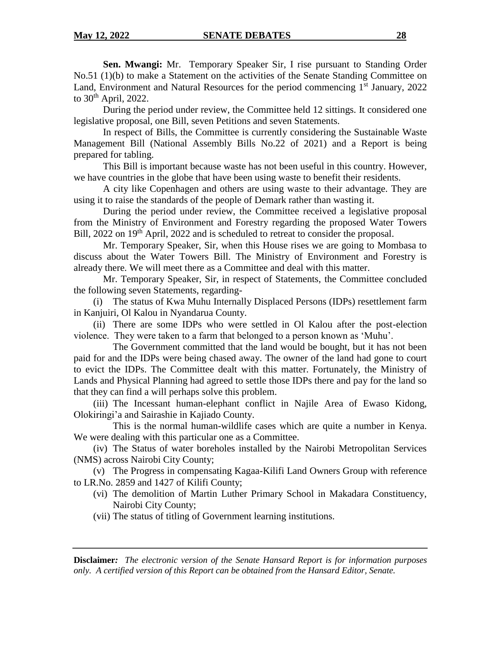**Sen. Mwangi:** Mr. Temporary Speaker Sir, I rise pursuant to Standing Order No.51 (1)(b) to make a Statement on the activities of the Senate Standing Committee on Land, Environment and Natural Resources for the period commencing  $1<sup>st</sup>$  January, 2022 to  $30<sup>th</sup>$  April, 2022.

During the period under review, the Committee held 12 sittings. It considered one legislative proposal, one Bill, seven Petitions and seven Statements.

In respect of Bills, the Committee is currently considering the Sustainable Waste Management Bill (National Assembly Bills No.22 of 2021) and a Report is being prepared for tabling.

This Bill is important because waste has not been useful in this country. However, we have countries in the globe that have been using waste to benefit their residents.

A city like Copenhagen and others are using waste to their advantage. They are using it to raise the standards of the people of Demark rather than wasting it.

During the period under review, the Committee received a legislative proposal from the Ministry of Environment and Forestry regarding the proposed Water Towers Bill, 2022 on 19<sup>th</sup> April, 2022 and is scheduled to retreat to consider the proposal.

Mr. Temporary Speaker, Sir, when this House rises we are going to Mombasa to discuss about the Water Towers Bill. The Ministry of Environment and Forestry is already there. We will meet there as a Committee and deal with this matter.

Mr. Temporary Speaker, Sir, in respect of Statements, the Committee concluded the following seven Statements, regarding-

(i) The status of Kwa Muhu Internally Displaced Persons (IDPs) resettlement farm in Kanjuiri, Ol Kalou in Nyandarua County.

(ii) There are some IDPs who were settled in Ol Kalou after the post-election violence. They were taken to a farm that belonged to a person known as 'Muhu'.

The Government committed that the land would be bought, but it has not been paid for and the IDPs were being chased away. The owner of the land had gone to court to evict the IDPs. The Committee dealt with this matter. Fortunately, the Ministry of Lands and Physical Planning had agreed to settle those IDPs there and pay for the land so that they can find a will perhaps solve this problem.

(iii) The Incessant human-elephant conflict in Najile Area of Ewaso Kidong, Olokiringi'a and Sairashie in Kajiado County.

This is the normal human-wildlife cases which are quite a number in Kenya. We were dealing with this particular one as a Committee.

(iv) The Status of water boreholes installed by the Nairobi Metropolitan Services (NMS) across Nairobi City County;

(v) The Progress in compensating Kagaa-Kilifi Land Owners Group with reference to LR.No. 2859 and 1427 of Kilifi County;

- (vi) The demolition of Martin Luther Primary School in Makadara Constituency, Nairobi City County;
- (vii) The status of titling of Government learning institutions.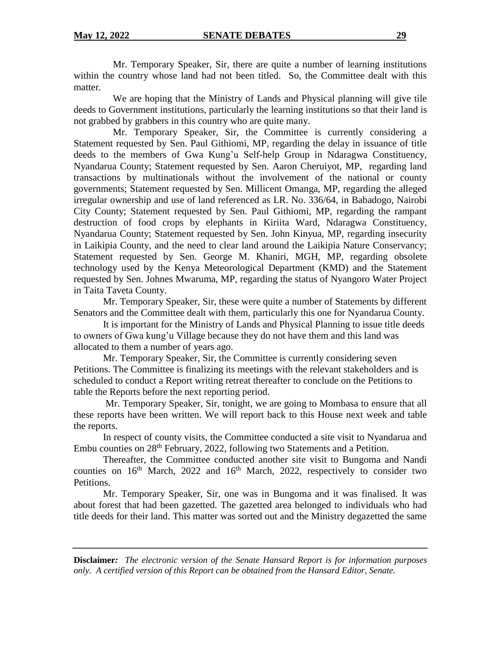Mr. Temporary Speaker, Sir, there are quite a number of learning institutions within the country whose land had not been titled. So, the Committee dealt with this matter.

We are hoping that the Ministry of Lands and Physical planning will give tile deeds to Government institutions, particularly the learning institutions so that their land is not grabbed by grabbers in this country who are quite many.

Mr. Temporary Speaker, Sir, the Committee is currently considering a Statement requested by Sen. Paul Githiomi, MP, regarding the delay in issuance of title deeds to the members of Gwa Kung'u Self-help Group in Ndaragwa Constituency, Nyandarua County; Statement requested by Sen. Aaron Cheruiyot, MP, regarding land transactions by multinationals without the involvement of the national or county governments; Statement requested by Sen. Millicent Omanga, MP, regarding the alleged irregular ownership and use of land referenced as LR. No. 336/64, in Babadogo, Nairobi City County; Statement requested by Sen. Paul Githiomi, MP, regarding the rampant destruction of food crops by elephants in Kiriita Ward, Ndaragwa Constituency, Nyandarua County; Statement requested by Sen. John Kinyua, MP, regarding insecurity in Laikipia County, and the need to clear land around the Laikipia Nature Conservancy; Statement requested by Sen. George M. Khaniri, MGH, MP, regarding obsolete technology used by the Kenya Meteorological Department (KMD) and the Statement requested by Sen. Johnes Mwaruma, MP, regarding the status of Nyangoro Water Project in Taita Taveta County.

Mr. Temporary Speaker, Sir, these were quite a number of Statements by different Senators and the Committee dealt with them, particularly this one for Nyandarua County.

It is important for the Ministry of Lands and Physical Planning to issue title deeds to owners of Gwa kung'u Village because they do not have them and this land was allocated to them a number of years ago.

Mr. Temporary Speaker, Sir, the Committee is currently considering seven Petitions. The Committee is finalizing its meetings with the relevant stakeholders and is scheduled to conduct a Report writing retreat thereafter to conclude on the Petitions to table the Reports before the next reporting period.

Mr. Temporary Speaker, Sir, tonight, we are going to Mombasa to ensure that all these reports have been written. We will report back to this House next week and table the reports.

In respect of county visits, the Committee conducted a site visit to Nyandarua and Embu counties on 28<sup>th</sup> February, 2022, following two Statements and a Petition.

Thereafter, the Committee conducted another site visit to Bungoma and Nandi counties on  $16<sup>th</sup>$  March, 2022 and  $16<sup>th</sup>$  March, 2022, respectively to consider two Petitions.

Mr. Temporary Speaker, Sir, one was in Bungoma and it was finalised. It was about forest that had been gazetted. The gazetted area belonged to individuals who had title deeds for their land. This matter was sorted out and the Ministry degazetted the same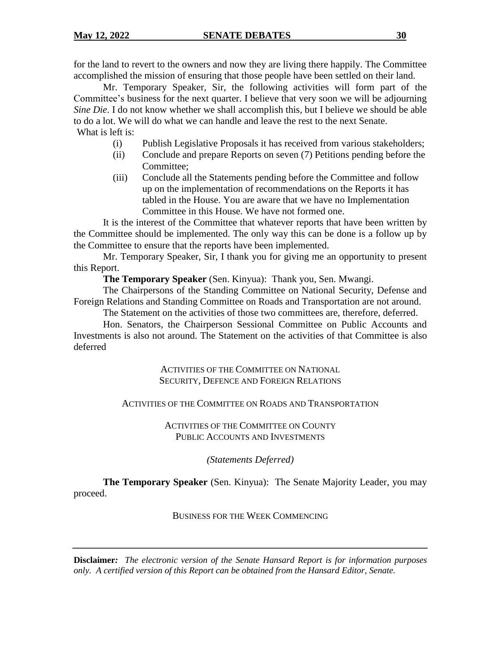for the land to revert to the owners and now they are living there happily. The Committee accomplished the mission of ensuring that those people have been settled on their land.

Mr. Temporary Speaker, Sir, the following activities will form part of the Committee's business for the next quarter. I believe that very soon we will be adjourning *Sine Die*. I do not know whether we shall accomplish this, but I believe we should be able to do a lot. We will do what we can handle and leave the rest to the next Senate. What is left is:

- (i) Publish Legislative Proposals it has received from various stakeholders;
- (ii) Conclude and prepare Reports on seven (7) Petitions pending before the Committee;
- (iii) Conclude all the Statements pending before the Committee and follow up on the implementation of recommendations on the Reports it has tabled in the House. You are aware that we have no Implementation Committee in this House. We have not formed one.

It is the interest of the Committee that whatever reports that have been written by the Committee should be implemented. The only way this can be done is a follow up by the Committee to ensure that the reports have been implemented.

Mr. Temporary Speaker, Sir, I thank you for giving me an opportunity to present this Report.

**The Temporary Speaker** (Sen. Kinyua): Thank you, Sen. Mwangi.

The Chairpersons of the Standing Committee on National Security, Defense and Foreign Relations and Standing Committee on Roads and Transportation are not around.

The Statement on the activities of those two committees are, therefore, deferred.

Hon. Senators, the Chairperson Sessional Committee on Public Accounts and Investments is also not around. The Statement on the activities of that Committee is also deferred

> ACTIVITIES OF THE COMMITTEE ON NATIONAL SECURITY, DEFENCE AND FOREIGN RELATIONS

## ACTIVITIES OF THE COMMITTEE ON ROADS AND TRANSPORTATION

ACTIVITIES OF THE COMMITTEE ON COUNTY PUBLIC ACCOUNTS AND INVESTMENTS

*(Statements Deferred)*

**The Temporary Speaker** (Sen. Kinyua): The Senate Majority Leader, you may proceed.

## BUSINESS FOR THE WEEK COMMENCING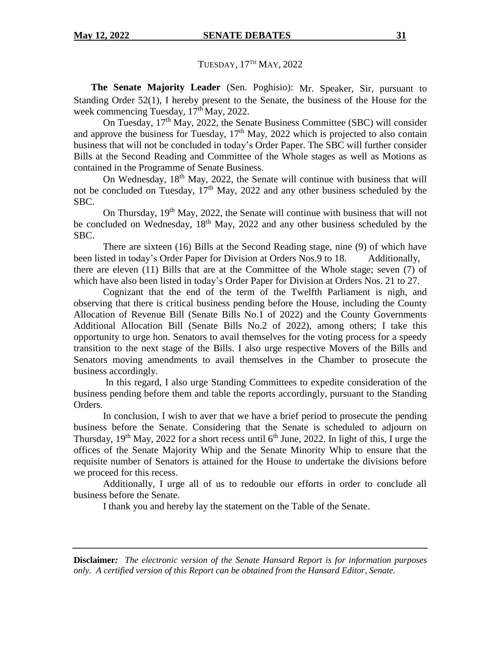TUESDAY, 17TH MAY, 2022

**The Senate Majority Leader** (Sen. Poghisio): Mr. Speaker, Sir, pursuant to Standing Order 52(1), I hereby present to the Senate, the business of the House for the week commencing Tuesday,  $17<sup>th</sup>$  May, 2022.

On Tuesday, 17th May, 2022, the Senate Business Committee (SBC) will consider and approve the business for Tuesday,  $17<sup>th</sup>$  May, 2022 which is projected to also contain business that will not be concluded in today's Order Paper. The SBC will further consider Bills at the Second Reading and Committee of the Whole stages as well as Motions as contained in the Programme of Senate Business.

On Wednesday, 18th May, 2022, the Senate will continue with business that will not be concluded on Tuesday, 17th May, 2022 and any other business scheduled by the SBC.

On Thursday,  $19<sup>th</sup>$  May, 2022, the Senate will continue with business that will not be concluded on Wednesday,  $18<sup>th</sup>$  May, 2022 and any other business scheduled by the SBC.

There are sixteen (16) Bills at the Second Reading stage, nine (9) of which have been listed in today's Order Paper for Division at Orders Nos.9 to 18. Additionally, there are eleven (11) Bills that are at the Committee of the Whole stage; seven (7) of which have also been listed in today's Order Paper for Division at Orders Nos. 21 to 27.

Cognizant that the end of the term of the Twelfth Parliament is nigh, and observing that there is critical business pending before the House, including the County Allocation of Revenue Bill (Senate Bills No.1 of 2022) and the County Governments Additional Allocation Bill (Senate Bills No.2 of 2022), among others; I take this opportunity to urge hon. Senators to avail themselves for the voting process for a speedy transition to the next stage of the Bills. I also urge respective Movers of the Bills and Senators moving amendments to avail themselves in the Chamber to prosecute the business accordingly.

In this regard, I also urge Standing Committees to expedite consideration of the business pending before them and table the reports accordingly, pursuant to the Standing Orders.

In conclusion, I wish to aver that we have a brief period to prosecute the pending business before the Senate. Considering that the Senate is scheduled to adjourn on Thursday,  $19<sup>th</sup>$  May, 2022 for a short recess until 6<sup>th</sup> June, 2022. In light of this, I urge the offices of the Senate Majority Whip and the Senate Minority Whip to ensure that the requisite number of Senators is attained for the House to undertake the divisions before we proceed for this recess.

Additionally, I urge all of us to redouble our efforts in order to conclude all business before the Senate.

I thank you and hereby lay the statement on the Table of the Senate.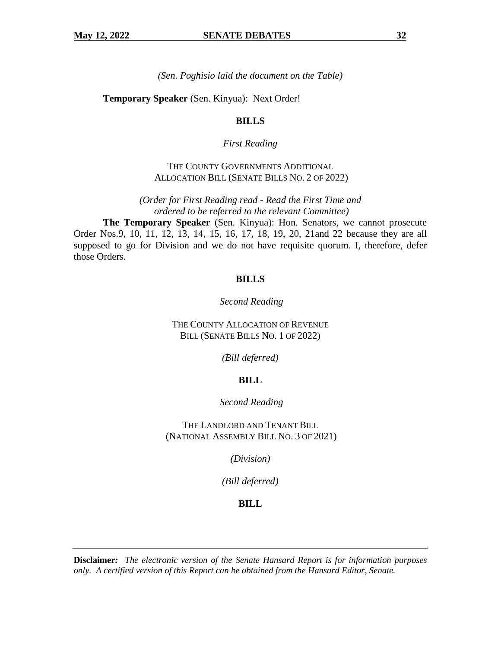*(Sen. Poghisio laid the document on the Table)*

**Temporary Speaker** (Sen. Kinyua): Next Order!

## **BILLS**

## *First Reading*

THE COUNTY GOVERNMENTS ADDITIONAL ALLOCATION BILL (SENATE BILLS NO. 2 OF 2022)

*(Order for First Reading read - Read the First Time and ordered to be referred to the relevant Committee)* 

**The Temporary Speaker** (Sen. Kinyua): Hon. Senators, we cannot prosecute Order Nos.9, 10, 11, 12, 13, 14, 15, 16, 17, 18, 19, 20, 21and 22 because they are all supposed to go for Division and we do not have requisite quorum. I, therefore, defer those Orders.

## **BILLS**

*Second Reading*

THE COUNTY ALLOCATION OF REVENUE BILL (SENATE BILLS NO. 1 OF 2022)

*(Bill deferred)*

## **BILL**

*Second Reading*

THE LANDLORD AND TENANT BILL (NATIONAL ASSEMBLY BILL NO. 3 OF 2021)

*(Division)*

*(Bill deferred)*

## **BILL**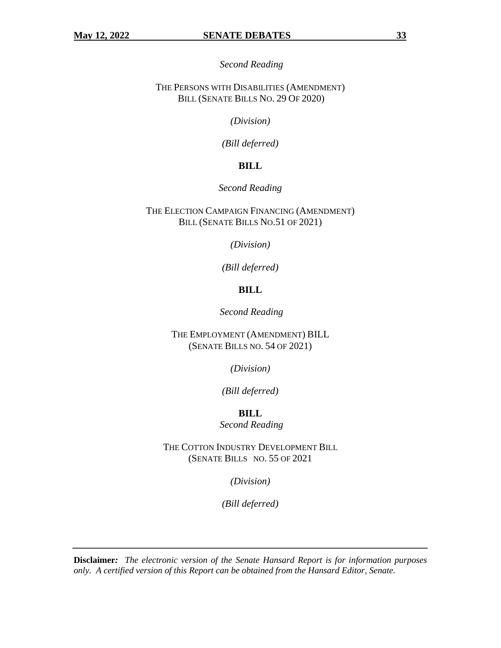*Second Reading*

THE PERSONS WITH DISABILITIES (AMENDMENT) BILL (SENATE BILLS NO. 29 OF 2020)

*(Division)*

*(Bill deferred)*

## **BILL**

#### *Second Reading*

THE ELECTION CAMPAIGN FINANCING (AMENDMENT) BILL (SENATE BILLS NO.51 OF 2021)

*(Division)*

*(Bill deferred)*

## **BILL**

*Second Reading*

THE EMPLOYMENT (AMENDMENT) BILL (SENATE BILLS NO. 54 OF 2021)

*(Division)*

*(Bill deferred)*

**BILL** *Second Reading*

THE COTTON INDUSTRY DEVELOPMENT BILL (SENATE BILLS NO. 55 OF 2021

*(Division)*

*(Bill deferred)*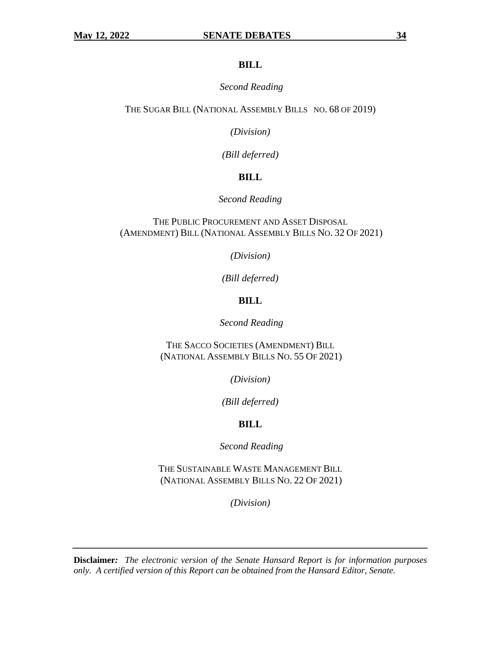#### **BILL**

#### *Second Reading*

THE SUGAR BILL (NATIONAL ASSEMBLY BILLS NO. 68 OF 2019)

*(Division)*

*(Bill deferred)* 

## **BILL**

*Second Reading*

THE PUBLIC PROCUREMENT AND ASSET DISPOSAL (AMENDMENT) BILL (NATIONAL ASSEMBLY BILLS NO. 32 OF 2021)

*(Division)*

*(Bill deferred)*

## **BILL**

*Second Reading*

THE SACCO SOCIETIES (AMENDMENT) BILL (NATIONAL ASSEMBLY BILLS NO. 55 OF 2021)

*(Division)*

*(Bill deferred)*

## **BILL**

*Second Reading*

THE SUSTAINABLE WASTE MANAGEMENT BILL (NATIONAL ASSEMBLY BILLS NO. 22 OF 2021)

*(Division)*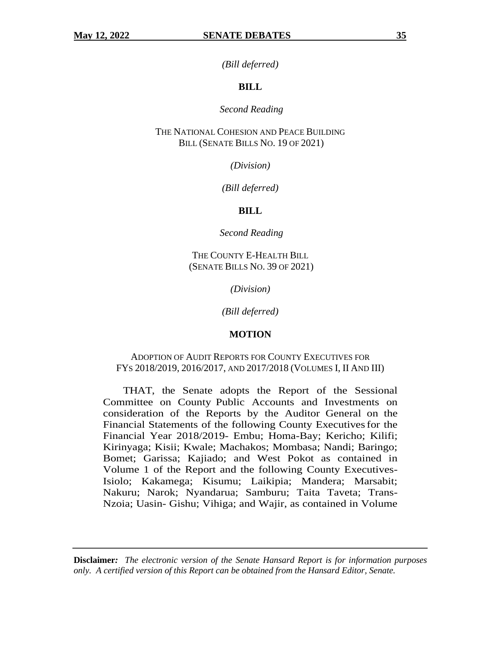*(Bill deferred)*

#### **BILL**

#### *Second Reading*

THE NATIONAL COHESION AND PEACE BUILDING BILL (SENATE BILLS NO. 19 OF 2021)

*(Division)*

*(Bill deferred)*

#### **BILL**

*Second Reading*

THE COUNTY E-HEALTH BILL (SENATE BILLS NO. 39 OF 2021)

*(Division)*

*(Bill deferred)*

#### **MOTION**

#### ADOPTION OF AUDIT REPORTS FOR COUNTY EXECUTIVES FOR FYS 2018/2019, 2016/2017, AND 2017/2018 (VOLUMES I, II AND III)

THAT, the Senate adopts the Report of the Sessional Committee on County Public Accounts and Investments on consideration of the Reports by the Auditor General on the Financial Statements of the following County Executivesfor the Financial Year 2018/2019- Embu; Homa-Bay; Kericho; Kilifi; Kirinyaga; Kisii; Kwale; Machakos; Mombasa; Nandi; Baringo; Bomet; Garissa; Kajiado; and West Pokot as contained in Volume 1 of the Report and the following County Executives-Isiolo; Kakamega; Kisumu; Laikipia; Mandera; Marsabit; Nakuru; Narok; Nyandarua; Samburu; Taita Taveta; Trans-Nzoia; Uasin- Gishu; Vihiga; and Wajir, as contained in Volume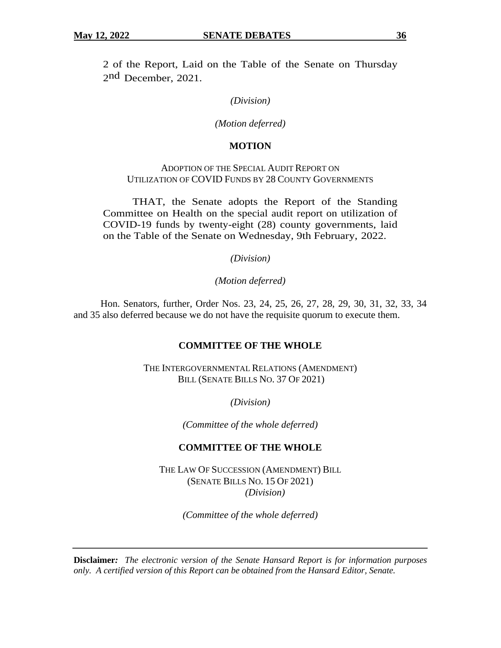2 of the Report, Laid on the Table of the Senate on Thursday 2nd December, 2021.

#### *(Division)*

#### *(Motion deferred)*

#### **MOTION**

## ADOPTION OF THE SPECIAL AUDIT REPORT ON UTILIZATION OF COVID FUNDS BY 28 COUNTY GOVERNMENTS

THAT, the Senate adopts the Report of the Standing Committee on Health on the special audit report on utilization of COVID-19 funds by twenty-eight (28) county governments, laid on the Table of the Senate on Wednesday, 9th February, 2022.

*(Division)*

*(Motion deferred)*

 Hon. Senators, further, Order Nos. 23, 24, 25, 26, 27, 28, 29, 30, 31, 32, 33, 34 and 35 also deferred because we do not have the requisite quorum to execute them.

## **COMMITTEE OF THE WHOLE**

THE INTERGOVERNMENTAL RELATIONS (AMENDMENT) BILL (SENATE BILLS NO. 37 OF 2021)

*(Division)*

*(Committee of the whole deferred)*

## **COMMITTEE OF THE WHOLE**

THE LAW OF SUCCESSION (AMENDMENT) BILL (SENATE BILLS NO. 15 OF 2021) *(Division)*

*(Committee of the whole deferred)*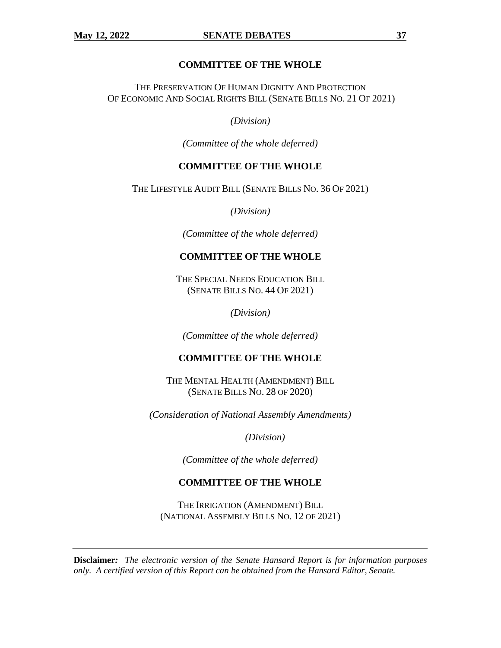## **COMMITTEE OF THE WHOLE**

THE PRESERVATION OF HUMAN DIGNITY AND PROTECTION OF ECONOMIC AND SOCIAL RIGHTS BILL (SENATE BILLS NO. 21 OF 2021)

*(Division)*

*(Committee of the whole deferred)*

## **COMMITTEE OF THE WHOLE**

THE LIFESTYLE AUDIT BILL (SENATE BILLS NO. 36 OF 2021)

*(Division)*

*(Committee of the whole deferred)*

## **COMMITTEE OF THE WHOLE**

THE SPECIAL NEEDS EDUCATION BILL (SENATE BILLS NO. 44 OF 2021)

*(Division)*

*(Committee of the whole deferred)*

## **COMMITTEE OF THE WHOLE**

THE MENTAL HEALTH (AMENDMENT) BILL (SENATE BILLS NO. 28 OF 2020)

*(Consideration of National Assembly Amendments)*

*(Division)*

*(Committee of the whole deferred)*

## **COMMITTEE OF THE WHOLE**

THE IRRIGATION (AMENDMENT) BILL (NATIONAL ASSEMBLY BILLS NO. 12 OF 2021)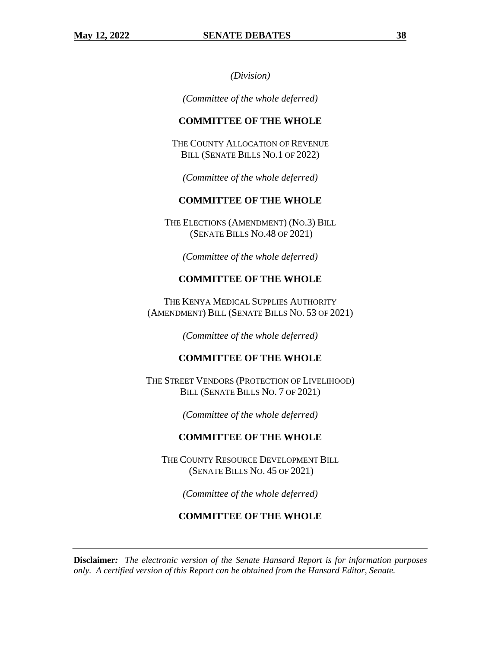*(Division)*

*(Committee of the whole deferred)*

## **COMMITTEE OF THE WHOLE**

THE COUNTY ALLOCATION OF REVENUE BILL (SENATE BILLS NO.1 OF 2022)

*(Committee of the whole deferred)*

## **COMMITTEE OF THE WHOLE**

THE ELECTIONS (AMENDMENT) (NO.3) BILL (SENATE BILLS NO.48 OF 2021)

*(Committee of the whole deferred)*

## **COMMITTEE OF THE WHOLE**

THE KENYA MEDICAL SUPPLIES AUTHORITY (AMENDMENT) BILL (SENATE BILLS NO. 53 OF 2021)

*(Committee of the whole deferred)*

## **COMMITTEE OF THE WHOLE**

THE STREET VENDORS (PROTECTION OF LIVELIHOOD) BILL (SENATE BILLS NO. 7 OF 2021)

*(Committee of the whole deferred)*

## **COMMITTEE OF THE WHOLE**

THE COUNTY RESOURCE DEVELOPMENT BILL (SENATE BILLS NO. 45 OF 2021)

*(Committee of the whole deferred)*

#### **COMMITTEE OF THE WHOLE**